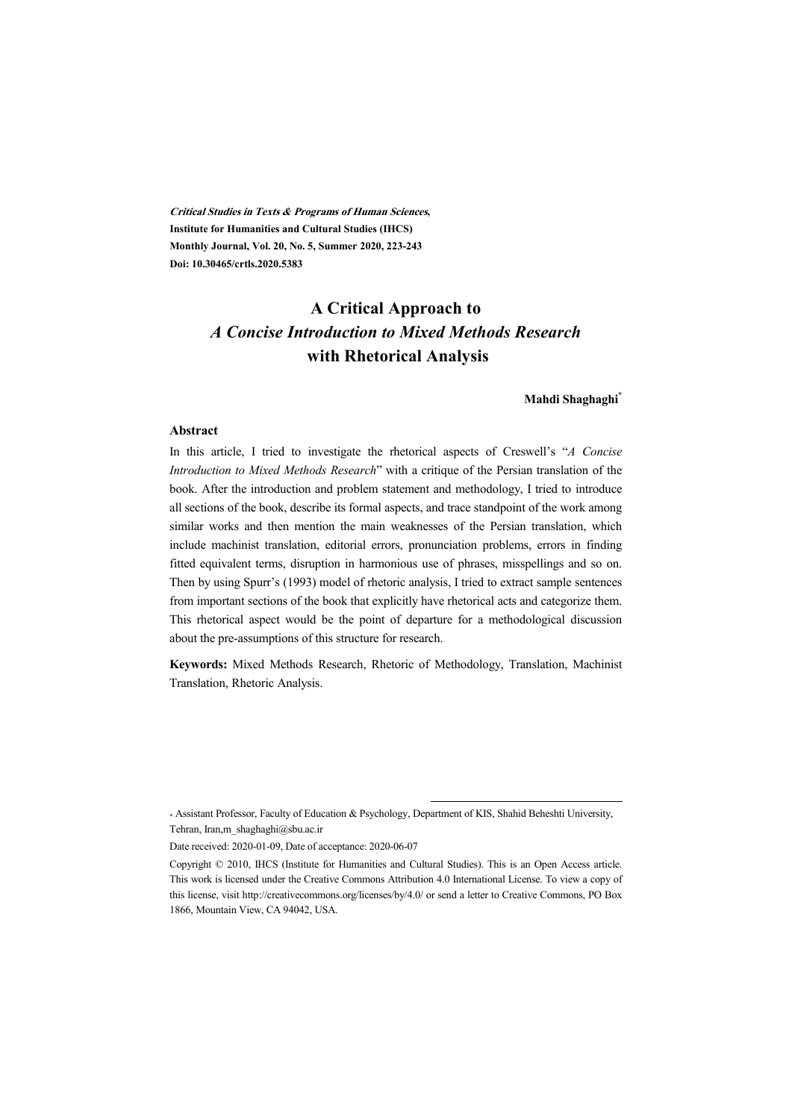**Critical Studies in Texts & Programs of Human Sciences, Institute for Humanities and Cultural Studies (IHCS) Monthly Journal, Vol. 20, No. 5, Summer 2020, 223-243 Doi: 10.30465/crtls.2020.5383** 

# **A Critical Approach to**  *A Concise Introduction to Mixed Methods Research*  **with Rhetorical Analysis**

#### **Mahdi Shaghaghi\***

#### **Abstract**

In this article, I tried to investigate the rhetorical aspects of Creswell's "*A Concise Introduction to Mixed Methods Research*" with a critique of the Persian translation of the book. After the introduction and problem statement and methodology, I tried to introduce all sections of the book, describe its formal aspects, and trace standpoint of the work among similar works and then mention the main weaknesses of the Persian translation, which include machinist translation, editorial errors, pronunciation problems, errors in finding fitted equivalent terms, disruption in harmonious use of phrases, misspellings and so on. Then by using Spurr's (1993) model of rhetoric analysis, I tried to extract sample sentences from important sections of the book that explicitly have rhetorical acts and categorize them. This rhetorical aspect would be the point of departure for a methodological discussion about the pre-assumptions of this structure for research.

**Keywords:** Mixed Methods Research, Rhetoric of Methodology, Translation, Machinist Translation, Rhetoric Analysis.

<sup>\*</sup> Assistant Professor, Faculty of Education & Psychology, Department of KIS, Shahid Beheshti University, Tehran, Iran,m\_shaghaghi@sbu.ac.ir

Date received: 2020-01-09, Date of acceptance: 2020-06-07

Copyright © 2010, IHCS (Institute for Humanities and Cultural Studies). This is an Open Access article. This work is licensed under the Creative Commons Attribution 4.0 International License. To view a copy of this license, visit http://creativecommons.org/licenses/by/4.0/ or send a letter to Creative Commons, PO Box 1866, Mountain View, CA 94042, USA.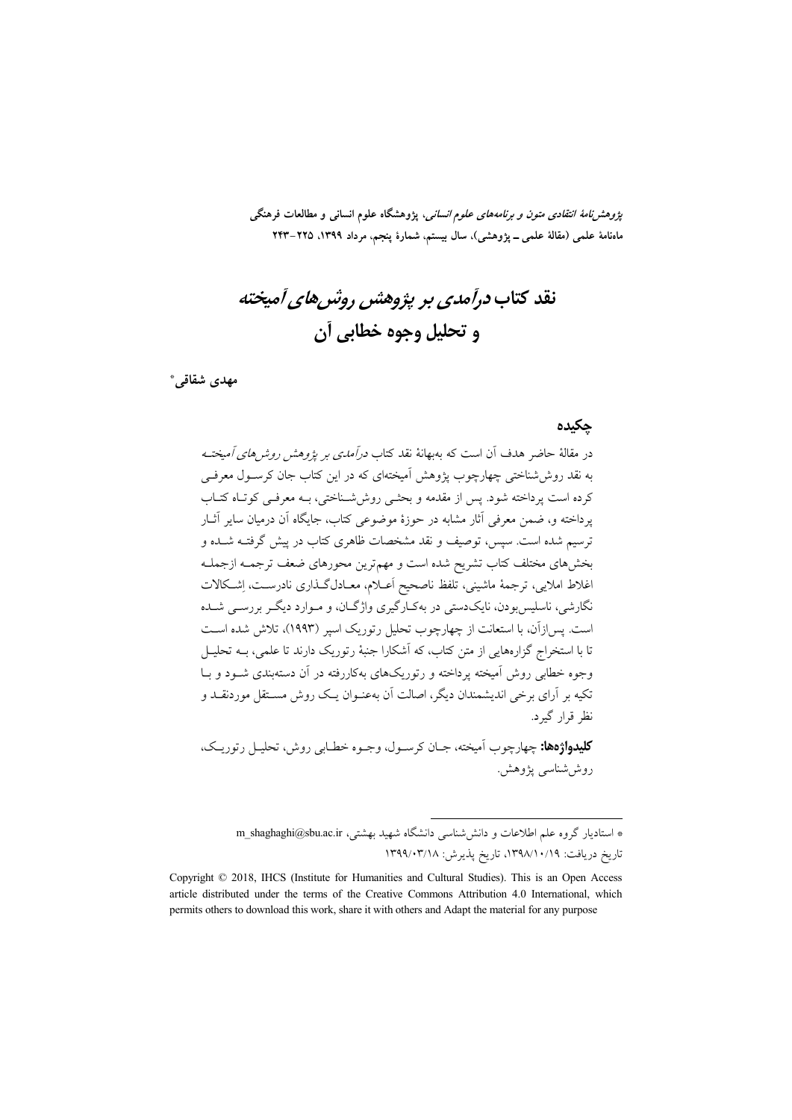*پژوهشنامهٔ انتقادی متون و برنامههای علوم انسانی*، پژوهشگاه علوم انسانی و مطالعات فرهنگی ماهنامهٔ علمی (مقالهٔ علمی ــ پژوهشی)، سال بیستم، شمارهٔ پنجم، مرداد ۱۳۹۹، ۲۲۵–۲۴۳

نقد کتاب درآمدی بر پژوهشن روشر های آمیخته و تحليل وجوه خطابي أن

مهدي شقاقي\*

#### جكيده

در مقالهٔ حاضر هدف آن است که بهبهانهٔ نقد کتاب *درآمدی بر پژوهش روشرهای آمیخت*ه به نقد روش شناختی چهارچوب یژوهش آمیختهای که در این کتاب جان کرسـول معرفـی کرده است بر داخته شود. پس از مقدمه و بحثبی روش شـناختی، بـه معرفـی کو تـاه کتـاب یرداخته و، ضمن معرفی آثار مشابه در جوزهٔ موضوعی کتاب، جایگاه آن درمیان سایر آثیار ترسیم شده است. سیس، توصیف و نقد مشخصات ظاهری کتاب در پیش گرفتـه شــده و بخشهای مختلف کتاب تشریح شده است و مهمترین محورهای ضعف ترجمـه ازجملـه اغلاط املایی، ترجمهٔ ماشینی، تلفظ ناصحیح اَعــلام، معــادلگــذاری نادرســت، اِشــکالات نگارشی، ناسلیس بودن، نایکدستی در بهکـارگیری واژگــان، و مــوارد دیگــر بررســی شــده است. پس|زآن، با استعانت از چهارچوب تحلیل رتوریک اسیر (۱۹۹۳)، تلاش شده اسـت ۔<br>تا با استخراج گزارہھایے از متن کتاب، که آشکارا جنبۂ رتوریک دارند تا علمی، بــه تحلیــل وجوه خطابی روش آمیخته یرداخته و رتوریکهای بهکاررفته در آن دستهبندی شـود و بــا ۔<br>تکیه بر آرای برخبر اندیشمندان دیگر، اصالت آن بهعنـوان یـک روش مسـتقل موردنقـد و نظ قرار گ د.

**كليدواژهها:** چهارچوب اَميخته، جـان كرسـول، وجـوه خطـابي روش، تحليـل رتوريـك، روش شناسي پژوهش.

\* استادیار گروه علم اطلاعات و دانششناسی دانشگاه شهید بهشتی، m\_shaghaghi@sbu.ac.ir تاريخ دريافت: ١٣٩٨/١٠/١٩، تاريخ پذيرش: ١٣٩٩/٠٣/١٨

Copyright © 2018, IHCS (Institute for Humanities and Cultural Studies). This is an Open Access article distributed under the terms of the Creative Commons Attribution 4.0 International, which permits others to download this work, share it with others and Adapt the material for any purpose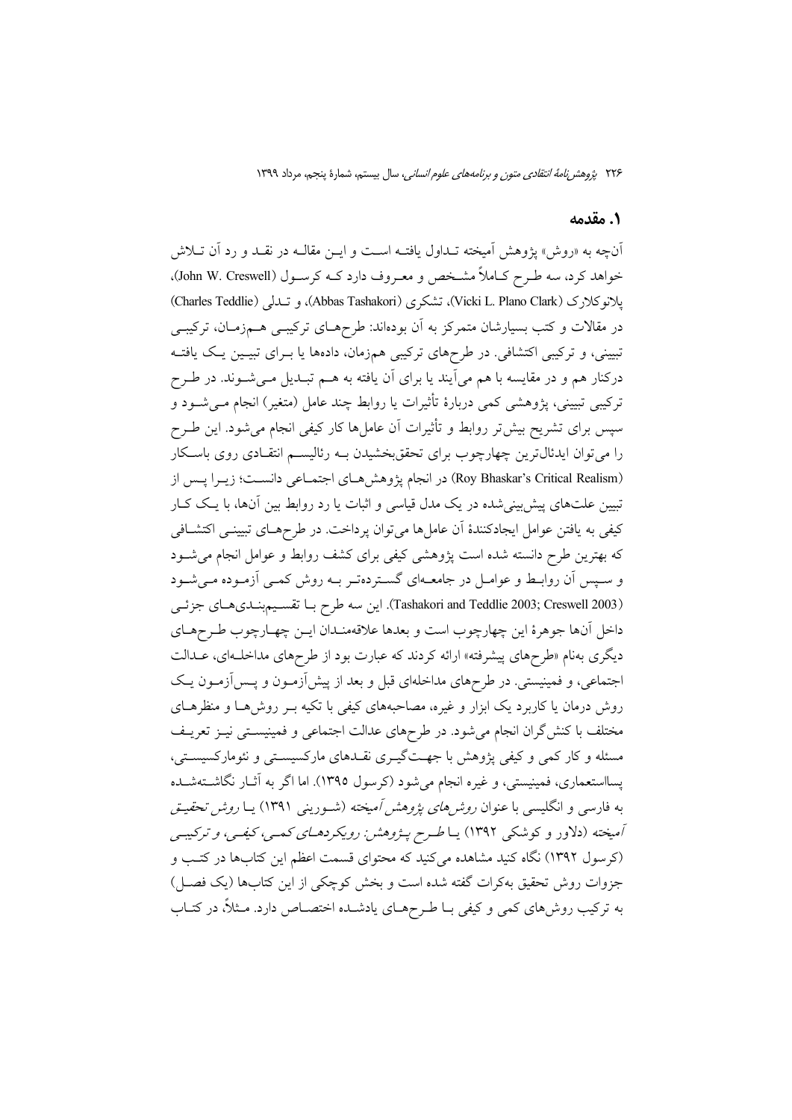### 1. مقدمه

آنچه به «روش» پژوهش آمیخته تـداول یافتــه اســت و ایــن مقالــه در نقــد و رد آن تــلاش خواهد کرد، سه طـرح کـاملاً مشـخص و معـروف دارد کــه کرسـول (John W. Creswell). يلانوكلارك (Vicki L. Plano Clark)، تشكري (Abbas Tashakori)، و تـمدلي (Charles Teddlie) در مقالات و کتب بسیارشان متمرکز به آن بودهاند: طرحهـای ترکیبـی هــمزمـان، ترکیبـی تبیینی، و ترکیبی اکتشافی. در طرحهای ترکیبی همزمان، دادهها یا بـرای تبیـین یـک یافتـه درکنار هم و در مقایسه با هم میآیند یا برای آن یافته به هــم تبــدیل مــیشــوند. در طــرح ترکیبی تبیینی، پژوهشی کمی دربارهٔ تأثیرات یا روابط چند عامل (متغیر) انجام مـیشــود و سیس برای تشریح بیش تر روابط و تأثیرات آن عاملها کار کیفی انجام می شود. این طـرح را میتوان ایدئال ترین چهارچوب برای تحققبخشیدن بـه رئالیســم انتقـادی روی باسـکار (Roy Bhaskar's Critical Realism) در انجام پژوهش هـاي اجتمـاعي دانســت؛ زيــرا پــس از ۔<br>تبیین علتہای پیش پینی شدہ در یک مدل قیاسی و اثبات یا رد روابط بین آنہا، با یک کـار كيفي به يافتن عوامل ايجادكنندهٔ آن عاملها مي توان پرداخت. در طرحهـاي تبيينـي اكتشـافي که بهترین طرح دانسته شده است پژوهشی کیفی برای کشف روابط و عوامل انجام می شود و سپس آن روابط و عوامـل در جامعــهاي گسـتردهتـر بــه روش كمـي آزمـوده مـي شـود (Tashakori and Teddlie 2003; Creswell 2003). این سه طرح بـا تقسـيمبنـديهـاي جزئـي داخل آنها جوهرهٔ این چهارچوب است و بعدها علاقهمنـدان ایــن چهـارچوب طـرحهـاي دیگری بهنام «طرحهای پیشرفته» ارائه کردند که عبارت بود از طرحهای مداخلـهای، عــدالت اجتماعی، و فمینیستی. در طرحهای مداخلهای قبل و بعد از پیش ازمـون و پـس[زمـون پـک روش درمان یا کاربرد یک ابزار و غیره، مصاحبههای کیفی با تکیه بـر روش هـا و منظرهـای مختلف با کنش گران انجام می شود. در طرحهای عدالت اجتماعی و فمینیسـتی نیــز تعریــف مسئله و کار کمی و کیفی پژوهش با جهتگیـری نقـدهای مارکسیسـتی و نئومارکسیسـتی، یسااستعماری، فمینیستی، و غیره انجام می شود (کرسول ۱۳۹۵). اما اگر به آثـار نگاشــتهشــده به فارسی و انگلیسی با عنوان *روشرهای پژوهش آمیخته* (شـورینی ۱۳۹۱) پــا *روش تحقیـق* آمیخته (دلاور و کوشکی ۱۳۹۲) یا *طرح پـژوهشن رویکردهـای کمـی، کیفـی، و ترکیبـی* (کرسول ۱۳۹۲) نگاه کنید مشاهده میکنید که محتوای قسمت اعظم این کتابها در کتب و جزوات روش تحقیق بهکرات گفته شده است و بخش کوچکی از این کتابها (یک فصــل) به ترکیب روش،های کمی و کیفی بـا طـرحهـای یادشــده اختصــاص دارد. مــثلاً، در کتــاب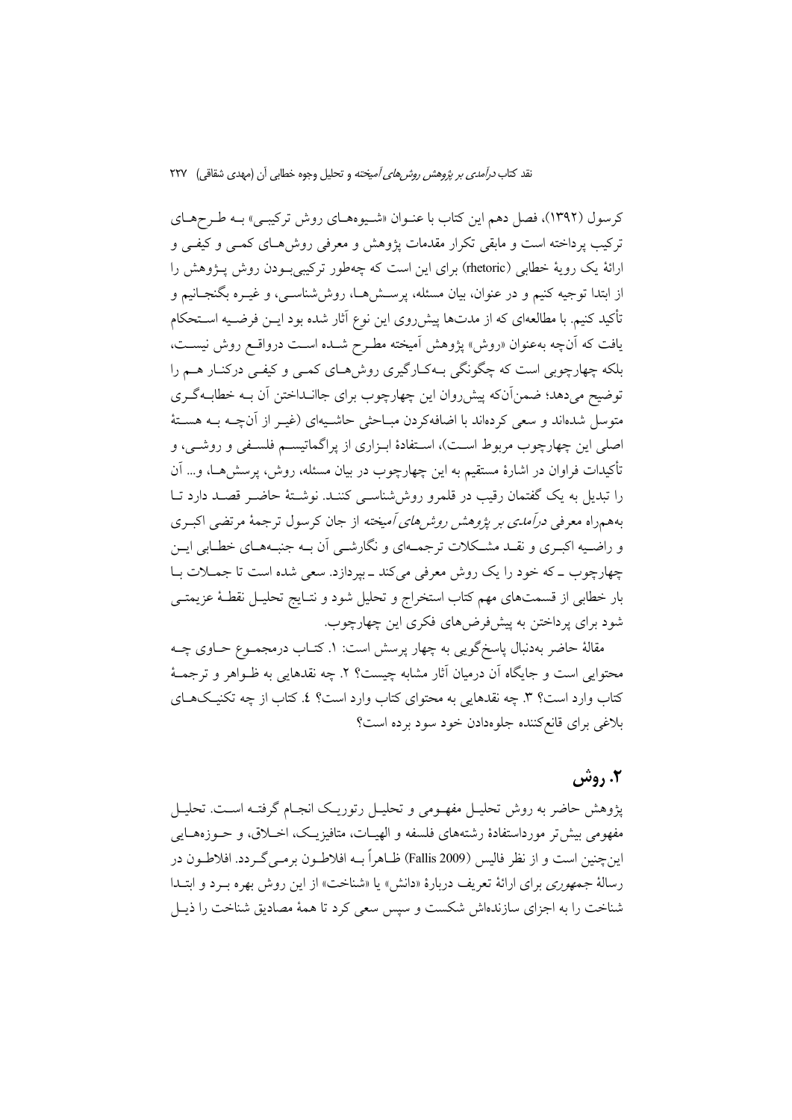کرسول (۱۳۹۲)، فصل دهم این کتاب با عنـوان «شـیوههـای روش ترکیبـی» بـه طـرحهـای ترکیب پرداخته است و مابقی تکرار مقدمات پژوهش و معرفی روشهای کمبی و کیفبی و ارائهٔ یک رویهٔ خطابی (rhetoric) برای این است که چهطور ترکیبی بودن روش پـژوهش را از ابتدا توجیه کنیم و در عنوان، بیان مسئله، پرســشهــا، روش'شناســی، و غیــره بگنجــانیم و تأكيد كنيم. با مطالعهاي كه از مدتها پيشرروي اين نوع آثار شده بود ايــن فرضــيه اســتحكام یافت که آنچه بهعنوان «روش» یژوهش اَمیخته مطـرح شـده اسـت درواقـع روش نیسـت، بلکه چهارچوبی است که چگونگی بـهکـارگیری روش هـای کمـی و کیفـی درکنـار هـم را توضیح میدهد؛ ضمنآنکه پیش روان این چهارچوب برای جاانـداختن آن بـه خطابـهگـری متوسل شدهاند و سعی کردهاند با اضافهکردن مبـاحثی حاشـیهای (غیـر از آنچــه بــه هســتهٔ اصلی این چهارچوب مربوط است)، استفادهٔ ابـزاری از پراگماتیسـم فلسـفی و روشـی، و تأکیدات فراوان در اشارهٔ مستقیم به این چهارچوب در بیان مسئله، روش، پرسش(هــا، و… آن را تبدیل به یک گفتمان رقیب در قلمرو روش شناسبی کننـد. نوشـتهٔ حاضـر قصـد دارد تــا بههمراه معرفی *درآمدی بر پژوهش روش های آمیخته* از جان کرسول ترجمهٔ مرتضی اکبـری و راضـیه اکبـری و نقـد مشـکلات ترجمـهای و نگارشـی آن بـه جنبـههـای خطـابی ایـن چهارچوب ـ که خود را یک روش معرفی میکند ـ بپردازد. سعی شده است تا جمـلات بـا بار خطابی از قسمتهای مهم کتاب استخراج و تحلیل شود و نتـایج تحلیــل نقطــهٔ عزیمتــی شود برای پرداختن به پیشفررضهای فکری این چهارچوب.

مقالهٔ حاضر بهدنبال پاسخگویی به چهار پرسش است: ۱. کتــاب درمجمــوع حــاوی چــه محتوایی است و جایگاه آن درمیان آثار مشابه چیست؟ ۲. چه نقدهایی به ظـواهر و ترجمــهٔ کتاب وارد است؟ ٣. چه نقدهايي به محتواي کتاب وارد است؟ ٤. کتاب از چه تکنيکهـاي بلاغی برای قانع کننده جلوهدادن خود سود برده است؟

# ۲. روش

یژوهش حاضر به روش تحلیـل مفهـومی و تحلیـل رتوریـک انجـام گرفتـه اسـت. تحلیـل مفهومي بيش تر مورداستفادهٔ رشتههاي فلسفه و الهيـات، متافيزيـک، اخــلاق، و حــوزههــايـي اين چنين است و از نظر فاليس (2009 Fallis) ظــاهراً بــه افلاطــون برمــي گــردد. افلاطــون در رسالهٔ *جمهوری برای ارائهٔ تعریف دربارهٔ* «دانش» یا «شناخت» از این روش بهره برد و ابتـدا شناخت را به اجزای سازندهاش شکست و سپس سعی کرد تا همهٔ مصادیق شناخت را ذیــل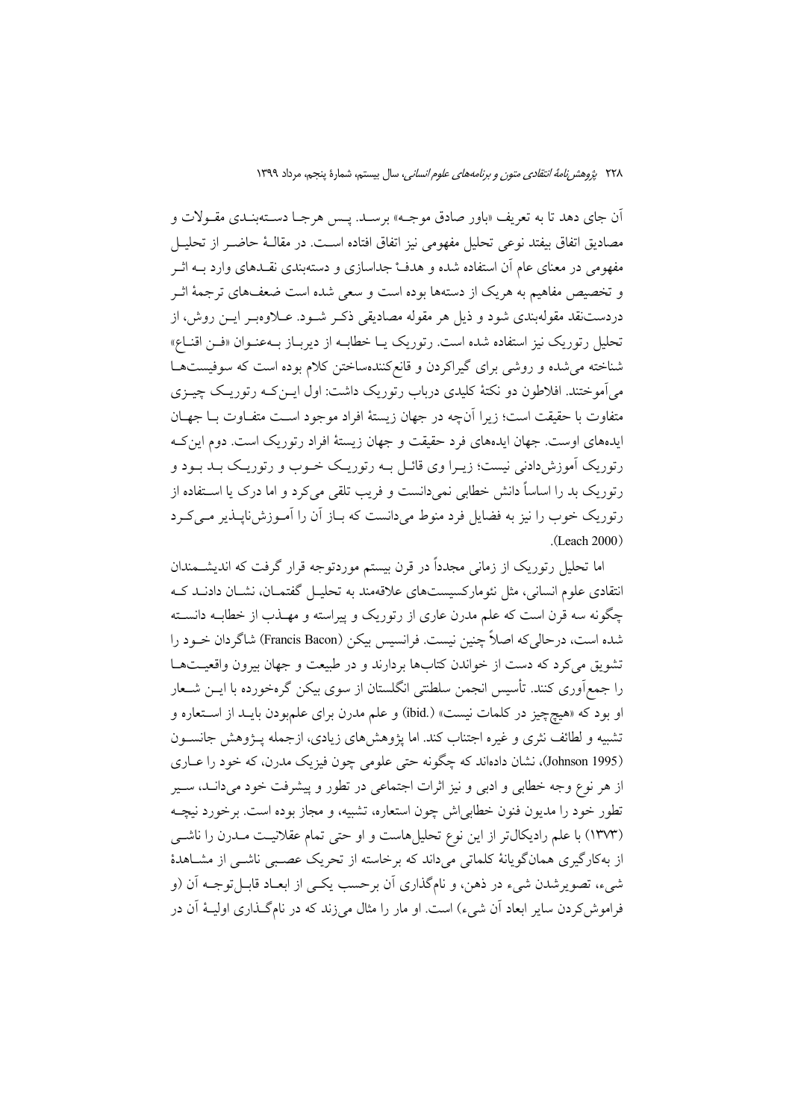اّن جاي دهد تا به تعريف «باور صادق موجــه» برسـد. پــس هرجــا دســتهبنــدي مقــولات و مصاديق اتفاق بيفتد نوعي تحليل مفهومي نيز اتفاق افتاده اسـت. در مقالــهٔ حاضــر از تحليــل مفهومی در معنای عام آن استفاده شده و هدف جداسازی و دستهبندی نقــدهای وارد بــه اثــر و تخصیص مفاهیم به هریک از دستهها بوده است و سعی شده است ضعفهای ترجمهٔ اثـر دردستنقد مقولهبندي شود و ذيل هر مقوله مصاديقي ذكـر شــود. عــلاوهبـر ايــن روش، از تحلیل رتوریک نیز استفاده شده است. رتوریک یـا خطابـه از دیربـاز بـهعنـوان «فـن اقنــاع» شناخته می شده و روشی برای گیراکردن و قانع کنندهساختن کلام بوده است که سوفیستها می آموختند. افلاطون دو نکتهٔ کلیدی درباب رتوریک داشت: اول ایــنکـه رتوریـک چیــزی متفاوت با حقيقت است؛ زيرا آنچه در جهان زيستهٔ افراد موجود اسـت متفـاوت بــا جهــان ایدههای اوست. جهان ایدههای فرد حقیقت و جهان زیستهٔ افراد رتوریک است. دوم این ک رتوریک آموزشدادنی نیست؛ زیـرا وی قائـل بـه رتوریـک خـوب و رتوریـک بـد بـود و رتوریک بد را اساساً دانش خطابی نمیدانست و فریب تلقی می کرد و اما درک یا استفاده از رتوریک خوب را نیز به فضایل فرد منوط می دانست که بـاز آن را آمـوزش نایــذیر مـی کـرد  $(Leach 2000)$ 

اما تحلیل رتوریک از زمانی مجدداً در قرن بیستم موردتوجه قرار گرفت که اندیشــمندان انتقادی علوم انسانی، مثل نئومارکسیستهای علاقهمند به تحلیـل گفتمـان، نشـان دادنـد کـه چگونه سه قرن است که علم مدرن عاری از رتوریک و پیراسته و مهــذب از خطابــه دانســته شده است، درحالی که اصلاً چنین نیست. فرانسیس بیکن (Francis Bacon) شاگردان خــود را تشویق میکرد که دست از خواندن کتابها بردارند و در طبیعت و جهان بیرون واقعیـتهـا را جمع[وری کنند. تأسیس انجمن سلطتنی انگلستان از سوی بیکن گرهخورده با ایــن شــعار او بود كه «هيچچيز در كلمات نيست» (.ibid) و علم مدرن براي علمبودن بايـد از اسـتعاره و تشبیه و لطائف نثری و غیره اجتناب کند. اما پژوهشهای زیادی، ازجمله پـژوهش جانســون (Johnson 1995)، نشان دادهاند که چگونه حتی علومی چون فیزیک مدرن، که خود را عباری از هر نوع وجه خطابی و ادبی و نیز اثرات اجتماعی در تطور و پیشرفت خود میدانـد، سـیر تطور خود را مديون فنون خطابي اش چون استعاره، تشبيه، و مجاز بوده است. برخورد نيچـه (۱۳۷۳) با علم رادیکال تر از این نوع تحلیلهاست و او حتی تمام عقلانیـت مـدرن را ناشــی از بهکارگیری همانگویانهٔ کلماتی میداند که برخاسته از تحریک عصبی ناشــی از مشــاهدهٔ شيء، تصويرشدن شيء در ذهن، و نامگذاري اَن برحسب يکـي از ابعـاد قابــل توجــه اَن (و فراموش کردن سایر ابعاد اّن شیء) است. او مار را مثال می;زند که در نامگـذاری اولیــهٔ اّن در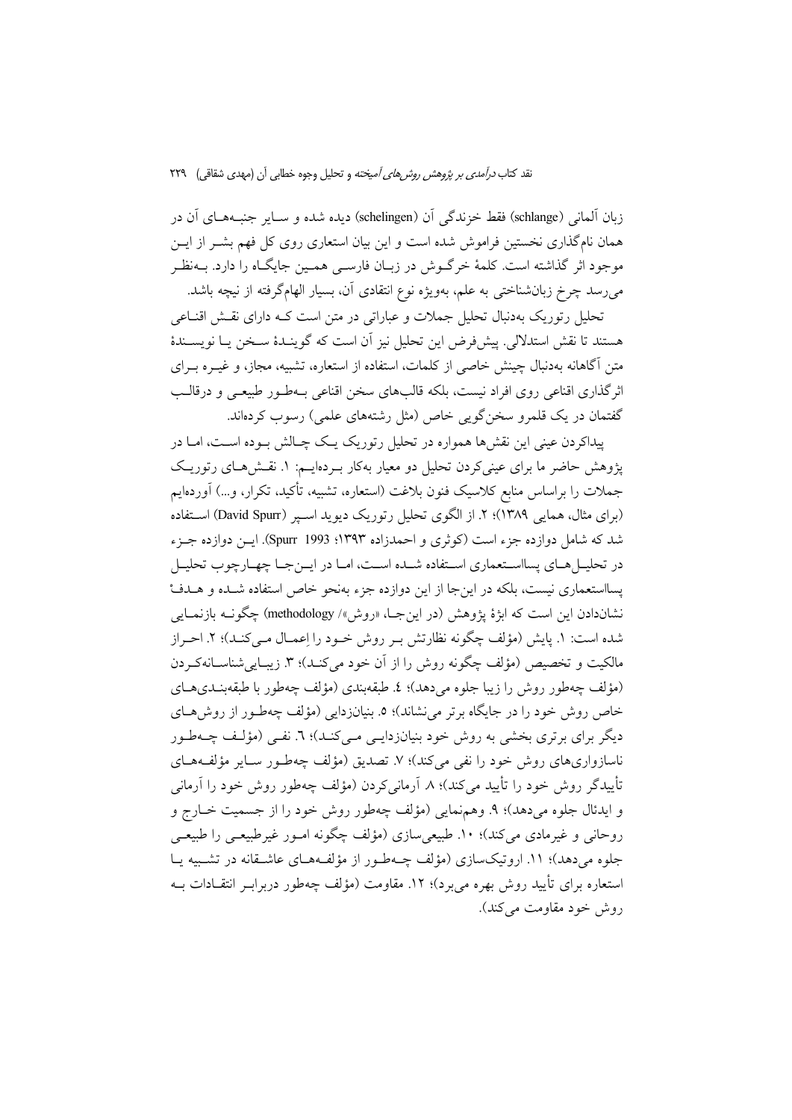زبان آلمانی (@schlange) فقط خزندگی آن (schelingen) دیده شده و ســایر جنبــههــای آن در همان نام گذاری نخستین فراموش شده است و این بیان استعاری روی کل فهم پشیر از ایین موجود اثر گذاشته است. کلمهٔ خرگـوش در زبـان فارســی همــین جایگــاه را دارد. بــهنظـر میرسد چرخ زبانشناختی به علم، بهویژه نوع انتقادی آن، بسیار الهامگرفته از نیچه باشد.

تحلیل رتوریک بهدنبال تحلیل جملات و عباراتی در متن است کـه دارای نقـش اقنـاعی هستند تا نقش استدلالي. پيش فرض اين تحليل نيز آن است كه گوينـدۀ ســخن پــا نويســندۀ متن آگاهانه بهدنبال چینش خاصی از کلمات، استفاده از استعاره، تشبیه، مجاز، و غیــره بــرای اثرگذاری اقناعی روی افراد نیست، بلکه قالبهای سخن اقناعی بـهطـور طبیعـی و درقالـب گفتمان در یک قلمرو سخن گویی خاص (مثل رشتههای علمی) رسوب کردهاند.

پیداکردن عینی این نقشها همواره در تحلیل رتوریک یـک چـالش بـوده اسـت، امـا در یژوهش حاضر ما برای عینیکردن تحلیل دو معیار بهکار بـردهایـم: ۱. نقـش(هـای رتوریـک جملات را براساس منابع کلاسیک فنون بلاغت (استعاره، تشبیه، تأکید، تکرار، و…) آوردهایم (برای مثال، همایی ۱۳۸۹)؛ ۲. از الگوی تحلیل رتوریک دیوید اسپر (David Spurr) استفاده شد که شامل دوازده جزء است (کوثری و احمدزاده ۱۳۹۳؛ Spurr 1993). ایــن دوازده جــزء در تحلیـــا هــای پسااســتعماری اســتفاده شــده اســت، امــا در ایـــن جــا چهــارچوب تحلیــل يسااستعماري نيست، بلكه در اين جا از اين دوازده جزء بهنحو خاص استفاده شـده و هـدفْ نشاندادن این است که ابژهٔ یژوهش (در این جــا، «روش»/ methodology) چگونــه بازنمــایی شده است: ١. پایش (مؤلف چگونه نظارتش بـر روش خـود را اِعمـال مـیکنـد)؛ ٢. احـراز مالکیت و تخصیص (مؤلف چگونه روش را از آن خود میکنـد)؛ ۳. زیبـاییشناسـانهکـردن (مؤلف چەطور روش را زيبا جلوه مى دهد)؛ ٤. طبقەبندى (مؤلف چەطور با طبقەبنـدىھـاي خاص روش خود را در جایگاه برتر می نشاند)؛ ٥. بنیانزدایی (مؤلف چهطـور از روش،هـای دیگر برای برتری بخشی به روش خود بنیانزدایـی مـی)کنـد)؛ ٦. نفـی (مؤلـف چـهطـور ناسازواریهای روش خود را نفی میکند)؛ ۷. تصدیق (مؤلف چهطـور سـایر مؤلفـههـای تأییدگر روش خود را تأیید می کند)؛ ۸. آرمانی کردن (مؤلف چهطور روش خود را آرمانی و ايدئال جلوه مي دهد)؛ ۹. وهمنمايي (مؤلف چهطور روش خود را از جسميت خــارج و روحانی و غیرمادی می کند)؛ ١٠. طبیعی سازی (مؤلف چگونه امـور غیرطبیعـی را طبیعـی جلوه میدهد)؛ ١١. اروتیکسازی (مؤلف چـهطـور از مؤلفـههـای عاشـقانه در تشـبیه یـا استعاره برای تأیید روش بهره می برد)؛ ۱۲. مقاومت (مؤلف چهطور دربراب انتقــادات بــه روش خود مقاومت مي کند).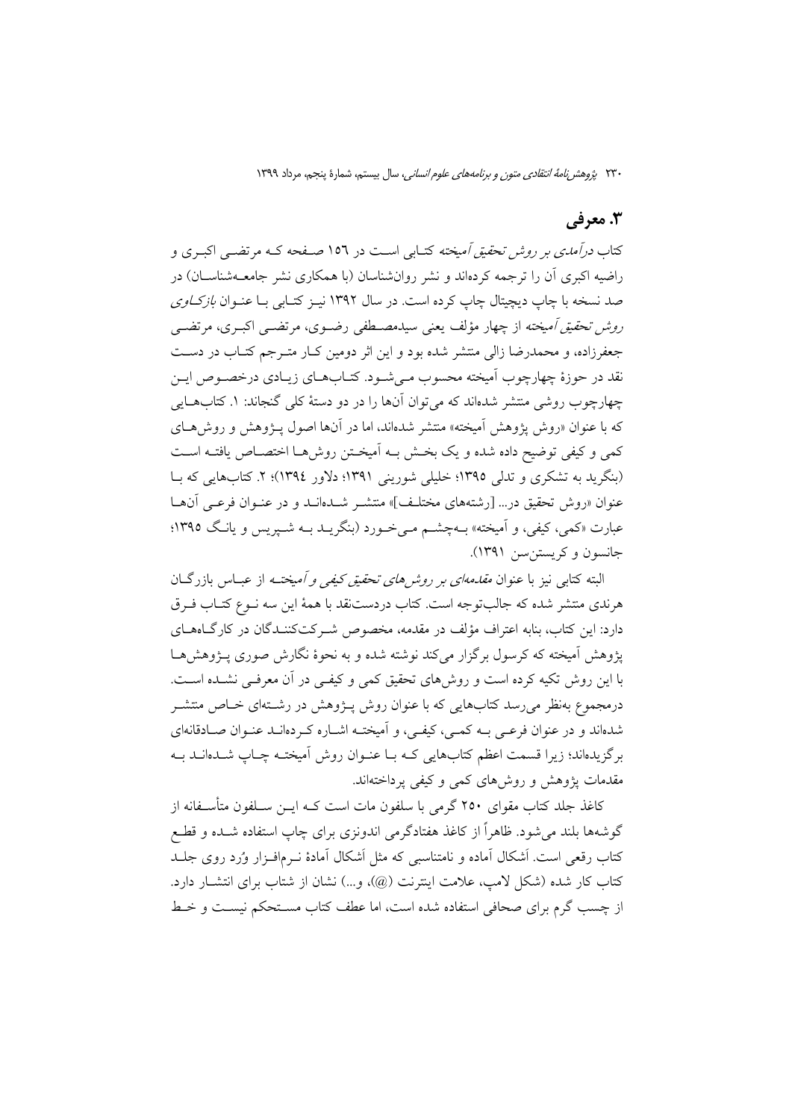## 3. معرفي

کتاب *درآمدی بر روش تحقیق آمیخته* کتــابی اســت در ۱۵۲ صــفحه کــه مرتضــی اکبــری و راضیه اکبری آن را ترجمه کردهاند و نشر روانشناسان (با همکاری نشر جامعــهشناســان) در صد نسخه با چاپ دیچیتال چاپ کرده است. در سال ۱۳۹۲ نیـز کتـابی بـا عنـوان *بازکــاوی* ر*وش تحقیق آمیخته* از چهار مؤلف یعنی سیدمصـطفی رضـوی، مرتضــی اکبـری، مرتضــی جعفرزاده، و محمدرضا زالی منتشر شده بود و این اثر دومین کـار متـرجم کتـاب در دسـت نقد در حوزهٔ چهارچوب اَمیخته محسوب مـیشـود. کتـابهـای زیـادی درخصـوص ایـن چهارچوب روشی منتشر شدهاند که می توان آنها را در دو دستهٔ کلی گنجاند: ۱. کتابهــایی که با عنوان «روش پژوهش آمیخته» منتشر شدهاند، اما در آنها اصول پـژوهش و روش هـای كمي و كيفي توضيح داده شده و يك بخش بـه أميخـتن روشهـا اختصـاص يافتـه اسـت (بنگرید به تشکری و تدلی ۱۳۹۵؛ خلیلی شورینی ۱۳۹۱؛ دلاور ۱۳۹٤)؛ ۲. کتابهایی که با عنوان «روش تحقيق در... [رشتههاي مختلـف]» منتشـر شــدهانــد و در عنــوان فرعــي آن&ــا عبارت «کمي، کيفي، و اَميخته» بــهچشــم مــي خــورد (بنگريــد بــه شــيريس و يانــگ ١٣٩٥؛ جانسون وكريستن سن ١٣٩١).

البته کتابی نیز با عنوان *مقدمهای بر روش های تحقیق کیفی و آمیختـه* از عبــاس بازرگــان هرندي منتشر شده كه جالبتوجه است. كتاب دردستنقد با همهٔ اين سه نــوع كتــاب فــرق دارد: این کتاب، بنابه اعتراف مؤلف در مقدمه، مخصوص شـرکتکننـدگان در کارگــاهـمـای یژوهش اَمیخته که کرسول برگزار می کند نوشته شده و به نحوهٔ نگارش صوری پـژوهش هـا با این روش تکیه کرده است و روش های تحقیق کمی و کیفـی در آن معرفـی نشــده اســت. درمجموع بهنظر میررسد کتابهایی که با عنوان روش پیژوهش در رشــتهای خــاص منتشــر شدهاند و در عنوان فرعـی بــه کمــی، کیفــی، و اَمیختــه اشــاره کــردهانــد عنــوان صــادقانهای برگزیدهاند؛ زیرا قسمت اعظم کتابهایی کـه بـا عنـوان روش اَمیختـه چـاپ شــدهانــد بــه مقدمات یژوهش و روش های کمی و کیفی یرداختهاند.

کاغذ جلد کتاب مقوای ۲۵۰ گرمی با سلفون مات است کـه ایــن ســلفون متأســفانه از گوشهها بلند می شود. ظاهراً از کاغذ هفتادگرمی اندونزی برای چاپ استفاده شــده و قطــع کتاب رقعی است. اَشکال اَماده و نامتناسبی که مثل اَشکال اَمادهٔ نــرمافــزار وُرد روی جلــد كتاب كار شده (شكل لامپ، علامت اينترنت (@)، و…) نشان از شتاب براي انتشــار دارد. از چسب گرم برای صحافی استفاده شده است، اما عطف کتاب مسـتحکم نیسـت و خـط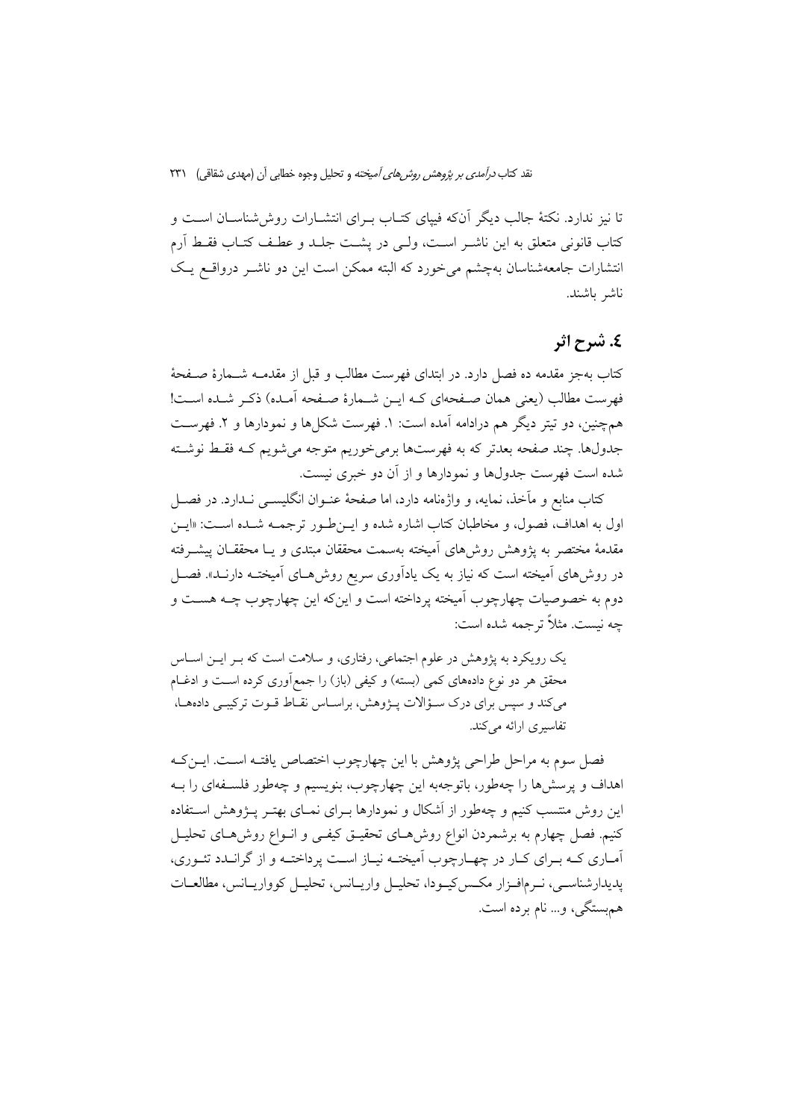نقد کتاب *درآمدی بر پژوهش روش های آمیخته* و تحلیل وجوه خطابی آن (مهدی شقاقی) ۲۳۱

تا نیز ندارد. نکتهٔ جالب دیگر آنکه فیپای کتـاب بـرای انتشــارات روش(شناســان اســت و كتاب قانوني متعلق به اين ناشـر اسـت، ولـي در پشـت جلـد و عطـف كتـاب فقـط آرم انتشارات جامعهشناسان بهچشم می خورد که البته ممکن است این دو ناشـر درواقـع یـک ناشر باشند.

# ٤. شرح اثر

كتاب بهجز مقدمه ده فصل دارد. در ابتداى فهرست مطالب و قبل از مقدمــه شــمارهٔ صــفحهٔ فهرست مطالب (يعني همان صفحهاي كـه ايــن شــمارهٔ صـفحه آمــده) ذكـر شــده اســت! همچنین، دو تیتر دیگر هم درادامه آمده است: ۱. فهرست شکلها و نمودارها و ۲. فهرست جدولها. چند صفحه بعدتر که به فهرستها برمی خوریم متوجه می شویم کـه فقـط نوشـته شده است فهرست جدولها و نمودارها و از آن دو خبری نیست.

کتاب منابع و مآخذ، نمایه، و واژهنامه دارد، اما صفحهٔ عنــوان انگلیســـی نــدارد. در فصـــل اول به اهداف، فصول، و مخاطبان كتاب اشاره شده و ايـن طـور ترجمــه شــده اســت: «ايـن مقدمهٔ مختصر به یژوهش روشهای آمیخته بهسمت محققان مبتدی و یـا محققـان پیشــرفته در روش۵ای آمیخته است که نیاز به یک یادآوری سریع روشهـای آمیختـه دارنـد». فصـل دوم به خصوصیات چهارچوب آمیخته یرداخته است و اینکه این چهارچوب چــه هســت و چه نیست. مثلاً ترجمه شده است:

یک رویکرد به پژوهش در علوم اجتماعی، رفتاری، و سلامت است که بـر ایـن اسـاس محقق هر دو نوع دادههای کمی (بسته) و کیفی (باز) را جمعآوری کرده اسـت و ادغــام میکند و سپس برای درک سـؤالات پــژوهش، براســاس نقــاط قــوت ترکیبــی دادههــا، تفاسیری ارائه می کند.

فصل سوم به مراحل طراحی پژوهش با این چهارچوب اختصاص یافتـه اسـت. ایــن٤کـه اهداف و پرسشها را چهطور، باتوجهبه این چهارچوب، بنویسیم و چهطور فلسـفهای را بـه این روش منتسب کنیم و چهطور از اَشکال و نمودارها بـرای نمـای بهتـر پـژوهش اسـتفاده کنیم. فصل چهارم به برشمردن انواع روشرهـای تحقیـق کیفـی و انــواع روش۵هـای تحلیــل آمـاري كـه بـراي كـار در چهـارچوب آميختـه نيـاز اسـت پرداختـه و از گرانــدد تئــوري، یدیدارشناسبی، نـرمافـزار مکـس2پـودا، تحليـل واريـانس، تحليـل کوواريـانس، مطالعـات همېستگي، و… نام بر ده است.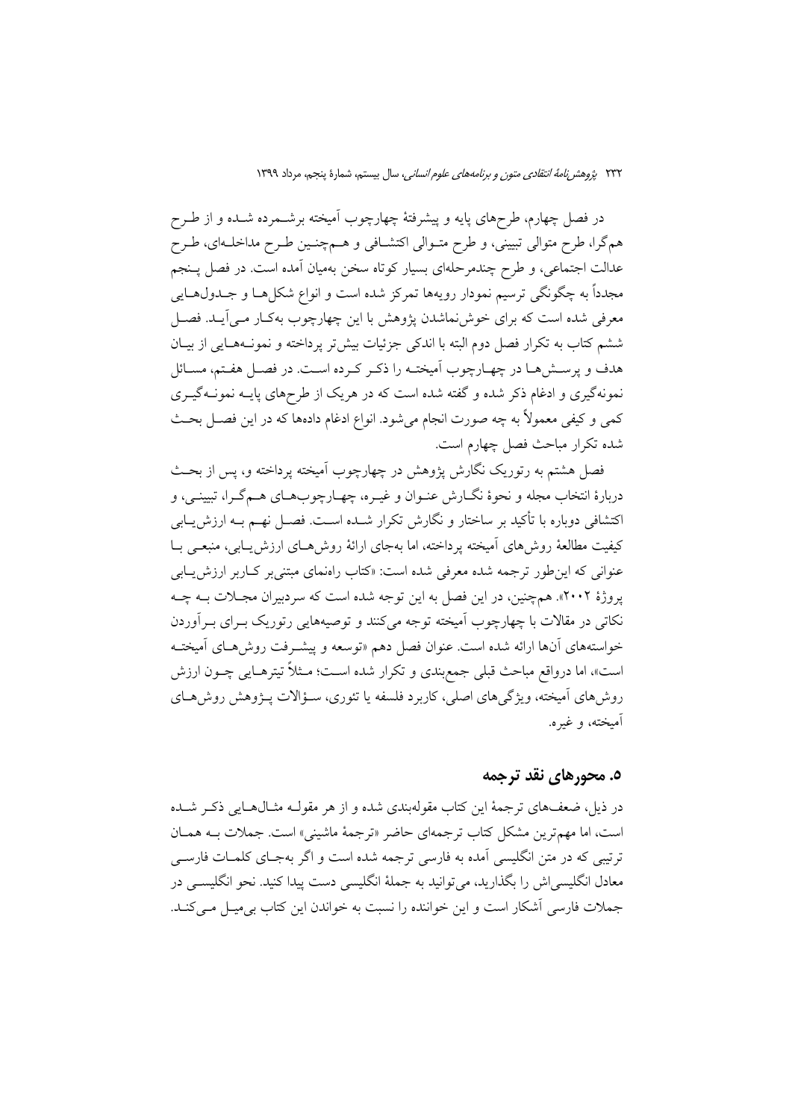در فصل چهارم، طرحهای پایه و پیشرفتهٔ چهارچوب اَمیخته برشــمرده شــده و از طــرح هم گرا، طرح متوالی تبیینی، و طرح متـوالی اکتشـافی و هــمچنـین طـرح مداخلـهای، طـرح عدالت اجتماعی، و طرح چندمرحلهای بسیار کوتاه سخن بهمیان آمده است. در فصل پـنجم مجدداً به چگونگی ترسیم نمودار رویهها تمرکز شده است و انواع شکلهـا و جــدول@ــایی معرفی شده است که برای خوش نماشدن پژوهش با این چهارچوب بهکـار مـی]یـد. فصـل ششم كتاب به تكرار فصل دوم البته با اندكي جزئيات بيش تر يرداخته و نمونــههــايي از بيــان هدف و پرسشها در چهـارچوب آميختـه را ذكـر كـرده اسـت. در فصـل هفـتم، مسـائل نمونهگیری و ادغام ذکر شده و گفته شده است که در هریک از طرحهای پایـه نمونــهگیــری کمی و کیفی معمولاً به چه صورت انجام میشود. انواع ادغام دادهها که در این فصـل بحـث شده تکرار مباحث فصل چهارم است.

فصل هشتم به رتوریک نگارش پژوهش در چهارچوب آمیخته پرداخته و، پس از بحث دربارهٔ انتخاب مجله و نحوهٔ نگــارش عنــوان و غيــره، چهــارچوبهــاي هــمگــرا، تبيينــي، و اکتشافی دوباره با تأکید بر ساختار و نگارش تکرار شــده اســت. فصــل نهــم بــه ارزش.يــابـی كيفيت مطالعهٔ روش۵های آميخته پرداخته، اما بهجای ارائهٔ روشهــای ارزش پــابی، منبعــی بــا عنوانی که این طور ترجمه شده معرفی شده است: «کتاب راهنمای مبتنی بر کـاربر ارزش یـابی یروژهٔ ۲۰۰۲». همچنین، در این فصل به این توجه شده است که سردبیران مجبلات بـه چـه نکاتی در مقالات با چهارچوب اَمیخته توجه میکنند و توصیههایی رتوریک بـرای بـراوردن خواستههای آنها ارائه شده است. عنوان فصل دهم «توسعه و پیشـرفت روش۵حـای آمیختـه است»، اما درواقع مباحث قبلي جمع بندي و تكرار شده است؛ مـثلاً تيترهـايي چـون ارزش روش۵های آمیخته، ویژگی۵عای اصلی، کاربرد فلسفه یا تئوری، سـؤالات پـژوهش روش۵حای آميخته، و غيره.

### ٥. محورهای نقد ترجمه

در ذیل، ضعفهای ترجمهٔ این کتاب مقولهبندی شده و از هر مقولـه مثـال۱هـایی ذکـر شــده است، اما مهمترین مشکل کتاب ترجمهای حاضر «ترجمهٔ ماشینی» است. جملات بـه همـان ترتیبی که در متن انگلیسی آمده به فارسی ترجمه شده است و اگر بهجـای کلمـات فارســی معادل انگلیسی اش را بگذارید، می توانید به جملهٔ انگلیسی دست پیدا کنید. نحو انگلیســی در جملات فارسی أشكار است و این خواننده را نسبت به خواندن این كتاب بی میل مـیكنـد.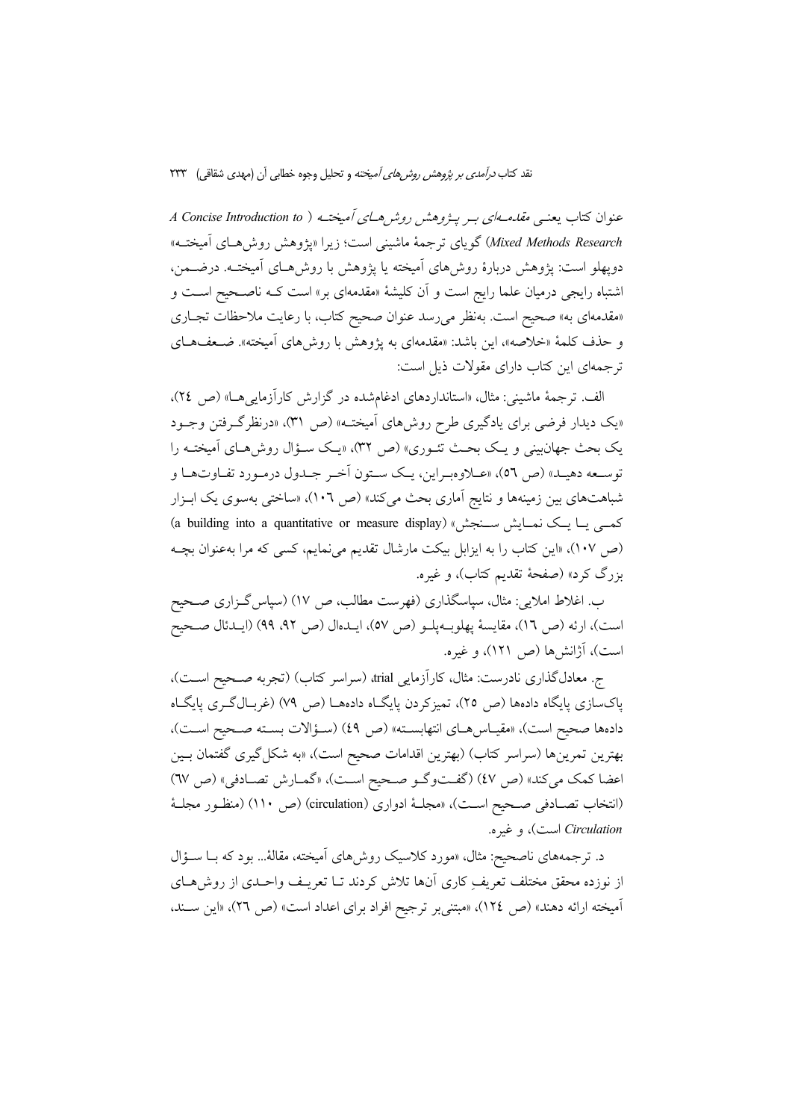نقد کتاب *درآمدی بر پژوهش روش های آمیخته* و تحلیل وجوه خطابی آن (مهدی شقاقی) ۲۳۳

عنوان کتاب یعنبی *مقامهای ب*ه پی*ژوهش روش های آمیخت*ه ( A Concise Introduction to Mixed Methods Research) گویای ترجمهٔ ماشینی است؛ زیرا «یژوهش روش هـای آمیختـه» دوپهلو است: پژوهش دربارهٔ روش۵ای آمیخته یا پژوهش با روشهـای آمیختـه. درضـمن، اشتباه رایجی درمیان علما رایج است و آن کلیشهٔ «مقدمهای بر» است کـه ناصـحیح اسـت و «مقدمهای به» صحیح است. بهنظر میرسد عنوان صحیح کتاب، با رعایت ملاحظات تجـاری و حذف كلمهٔ «خلاصه»، این باشد: «مقدمهای به یژوهش با روش۵های آمیخته». ضـعفهـای ترجمهای این کتاب دارای مقولات ذیل است:

الف. ترجمهٔ ماشینی: مثال، «استانداردهای ادغامشده در گزارش کاراًزماییها» (ص ۲٤)، «یک دیدار فرضی برای یادگیری طرح روشهای آمیخته» (ص ۳۱)، «درنظرگرفتن وجـود یک بحث جهان بینی و یک بحث تئـوری» (ص ۳۲)، «یـک سـؤال روش هـای اَمیختـه را توسـعه دهيـد» (ص ٥٦)، «عــلاوهبـراين، يـك سـتون أخـر جـدول درمـورد تفـاوتهـا و شباهتهای بین زمینهها و نتایج آماری بحث میکند» (ص ١٠٦)، «ساختی بهسوی یک ابـزار (a building into a quantitative or measure display) (هم ) (a building into a quantitative or measure (ص ١٠٧)، «این کتاب را به ایزابل بیکت مارشال تقدیم می نمایم، کسی که مرا به عنوان بچـه بزرگ کرد» (صفحهٔ تقدیم کتاب)، و غیره.

ب. اغلاط املایی: مثال، سپاسگذاری (فهرست مطالب، ص ١٧) (سپاس گــزاری صــحیح است)، ارئه (ص ١٦)، مقايسة پهلوبهپلـو (ص ٥٧)، ايــدهال (ص ٩٢، ٩٩) (ايــدئال صــحيح است)، آژانش ها (ص ۱۲۱)، و غیره.

ج. معادلگذاری نادرست: مثال، کارآزمایی drial، (سراسر کتاب) (تجربه صـحیح اسـت)، پاکسازی پایگاه دادهها (ص ۲۵)، تمیزکردن پایگـاه دادههـا (ص ۷۹) (غربـالگـری پایگـاه دادهها صحيح است)، «مقياس هـاي انتهابسـته» (ص ٤٩) (سـؤالات بسـته صـحيح اسـت)، بهترين تمرينها (سراسر كتاب) (بهترين اقدامات صحيح است)، «به شكل گيري گفتمان بـين اعضا كمك مي كند» (ص ٤٧) (گفتوگو صحيح است)، «گمارش تصادفي» (ص ٦٧) (انتخاب تصـادفی صـحیح اسـت)، «مجلـهٔ ادواری (circulation) (ص ۱۱۰) (منظـور مجلـهٔ Circulation است)، و غیره.

د. ترجمههای ناصحیح: مثال، «مورد کلاسیک روش۵ای آمیخته، مقالهٔ... بود که بــا ســؤال از نوزده محقق مختلف تعریفِ کاری اّنها تلاش کردند تــا تعریــف واحــدی از روش۵حـای آميخته ارائه دهند» (ص ١٢٤)، «مبتني بر ترجيح افراد براي اعداد است» (ص ٢٦)، «اين سـند،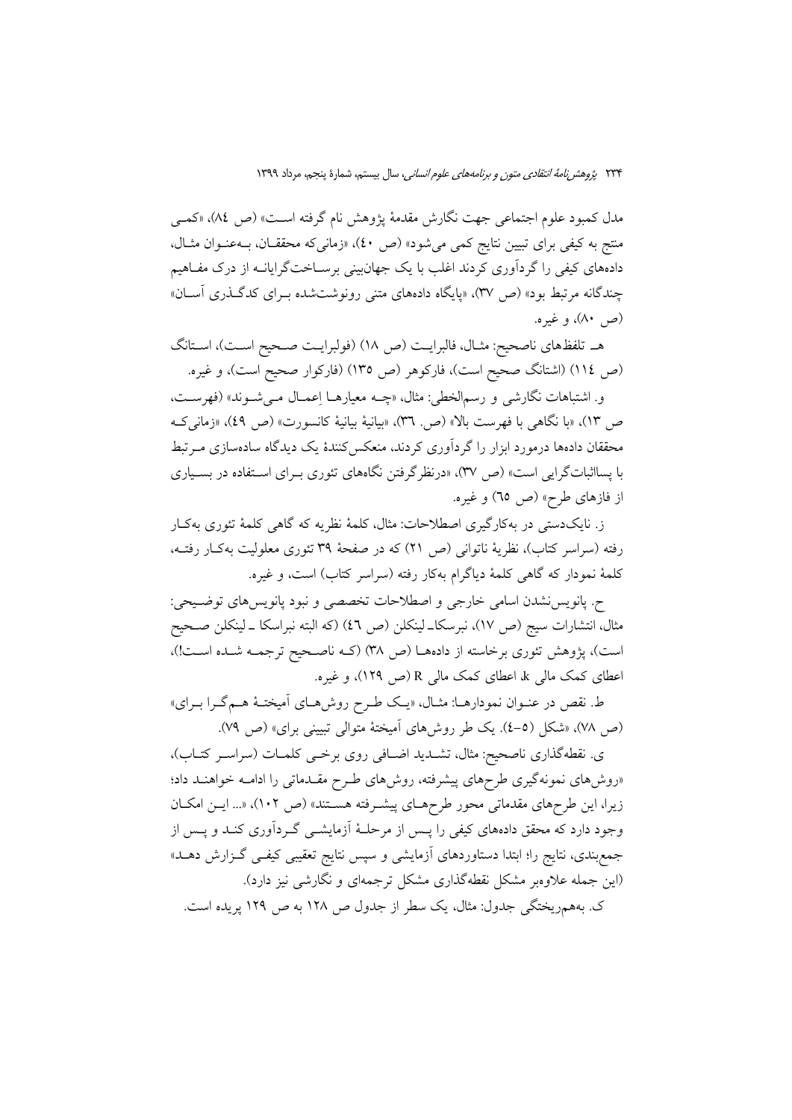مدل كمبود علوم اجتماعي جهت نگارش مقدمهٔ پژوهش نام گرفته است» (ص ٨٤)، «كمبي منتج به کیفی برای تبیین نتایج کمی میشود» (ص ٤٠)، «زمانیکه محققـان، بــهعنــوان مثــال، دادههای کیفی را گردآوری کردند اغلب با یک جهانبینی برســاختگرایانــه از درک مفــاهیم چندگانه مرتبط بود» (ص ۳۷)، «پایگاه دادههای متنی رونوشتشده بـرای کدگـذری آسـان» (ص ۸۰)، و غیره.

هـ تلفظهاي ناصحيح: مثـال، فالبرايـت (ص ١٨) (فولبرايـت صـحيح اسـت)، اسـتانگ (ص ١١٤) (اشتانگ صحیح است)، فارکوهر (ص ١٣٥) (فارکوار صحیح است)، و غیره.

و. اشتباهات نگارشي و رسمالخطي: مثال، «چــه معيارهــا اِعمــال مــي شــوند» (فهرســت، ص ١٣)، «با نگاهي با فهرست بالا» (ص. ٣٦)، «بيانيهٔ بيانيهٔ كانسورت» (ص ٤٩)، «زماني ك محققان دادهها درمورد ابزار را گردآوری کردند، منعکسکنندهٔ یک دیدگاه سادهسازی مـرتبط با پسااثباتگرایی است» (ص ۳۷)، «درنظرگرفتن نگاههای تئوری بـرای اسـتفاده در بسـیاری از فازهای طرح» (ص ٦٥) و غيره.

ز. نایکدستی در بهکارگیری اصطلاحات: مثال، کلمهٔ نظریه که گاهی کلمهٔ تئوری بهکار رفته (سراسر کتاب)، نظریهٔ ناتوانی (ص ٢١) که در صفحهٔ ٣٩ تئوری معلولیت بهکار رفتـه، كلمهٔ نمودار كه گاهی كلمهٔ دیاگرام بهكار رفته (سراسر كتاب) است، و غیره.

ح. پانویس نشدن اسامی خارجی و اصطلاحات تخصصی و نبود پانویس های توضـیحی: مثال، انتشارات سيج (ص ١٧)، نبرسكاــ لينكلن (ص ٤٦) (كه البته نبراسكا ــ لينكلن صــحيح است)، پژوهش تئوری برخاسته از دادههـا (ص ٣٨) (کـه ناصـحيح ترجمـه شـده اسـت!)، اعطای کمک مالی k اعطای کمک مالی R (ص ۱۲۹)، و غیره.

ط. نقص در عنـوان نمودارهــا: مثــال، «يــک طــرح روشهــاي أميختــهْ هــمگــرا بــراي» (ص ٧٨)، «شكل (٥-٤). يك طر روشهاى أميختهٔ متوالى تبييني براي» (ص ٧٩).

ى. نقطهگذارى ناصحيح: مثال، تشــديد اضــافى روى برخــى كلمــات (سراســر كتــاب)، «روشهای نمونهگیری طرحهای پیشرفته، روشهای طـرح مقـدماتی را ادامـه خواهنـد داد؛ زیرا، این طرحهای مقدماتی محور طرحهای پیشرفته هستند» (ص ١٠٢)، «... ایـن امکـان وجود دارد که محقق دادههای کیفی را پـس از مرحلـهٔ آزمایشــی گــردآوری کنــد و پــس از جمع بندی، نتایج را؛ ابتدا دستاوردهای آزمایشی و سپس نتایج تعقیبی کیفـی گـزارش دهــد» (این جمله علاوهبر مشکل نقطهگذاری مشکل ترجمهای و نگارشی نیز دارد).

ک. بههمریختگی جدول: مثال، یک سطر از جدول ص ۱۲۸ به ص ۱۲۹ پریده است.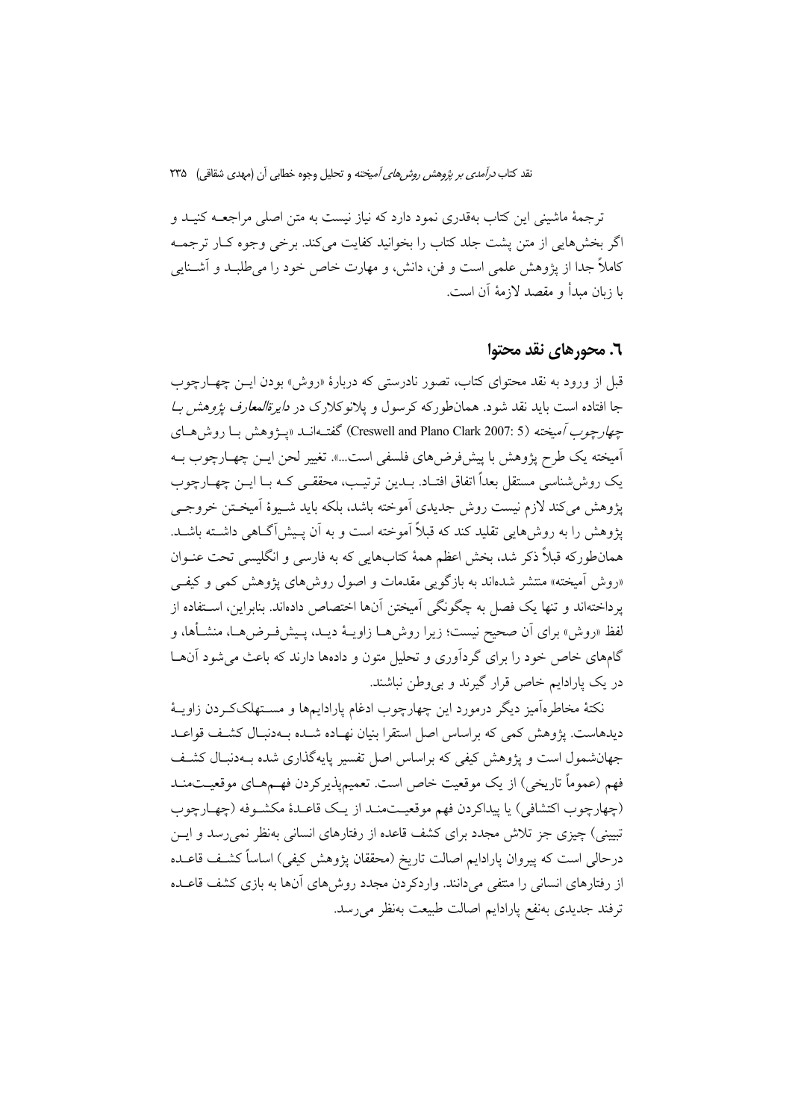ترجمهٔ ماشینی این کتاب بهقدری نمود دارد که نیاز نیست به متن اصلی مراجعــه کنیــد و اگر بخشهایی از متن پشت جلد کتاب را بخوانید کفایت میکند. برخی وجوه کـار ترجمـه کاملاً جدا از پژوهش علمی است و فن، دانش، و مهارت خاص خود را می طلبـد و آشــنایی يا زبان مبدأ و مقصد لازمهٔ آن است.

### ٦. محورهای نقد محتوا

قبل از ورود به نقد محتواي كتاب، تصور نادرستي كه دربارهٔ «روش» بودن ايــن چهــارچوب جا افتاده است باید نقد شود. همان طورکه کرسول و یلانوکلارک در *دایرةالمعارف پژوهش بـا* چه*ارچوب آميخته (*Creswell and Plano Clark 2007: 5) گفتIانــد «پــزوهش بــا روش هــاي آمیخته یک طرح پژوهش با پیشفررضهای فلسفی است...». تغییر لحن ایــن چهــارچوب بــه یک روش شناسی مستقل بعداً اتفاق افتـاد. بــدین ترتیـب، محققـبی کــه بــا ایــن چهــارچوب يژوهش مي كند لازم نيست روش جديدي أموخته باشد، بلكه بايد شـيوهٔ أميخـتن خروجـي یژوهش را به روش هایی تقلید کند که قبلاً آموخته است و به آن پیش آگیاهی داشته باشید. همانطورکه قبلاً ذکر شد، بخش اعظم همهٔ کتابهایی که به فارسی و انگلیسی تحت عنـوان «روش آمیخته» منتشر شدهاند به بازگویی مقدمات و اصول روشهای پژوهش کمی و کیفی يرداختهاند و تنها يک فصل به چگونگي آميختن آنها اختصاص دادهاند. بنابراين، اسـتفاده از لفظ «روش» براي اَن صحيح نيست؛ زيرا روش١هــا زاويــهٔ ديــد، پــيشفـرض٥هــا، منشــأها، و گامهای خاص خود را برای گردآوری و تحلیل متون و دادهها دارند که باعث می شود آنهـا در یک پارادایم خاص قرار گیرند و بی وطن نباشند.

نکتهٔ مخاطرهآمیز دیگر درمورد این چهارچوب ادغام پارادایمها و مسـتهلککـردن زاویــهٔ دیدهاست. یژوهش کمی که براساس اصل استقرا بنیان نهـاده شـده بـهدنبـال کشـف قواعـد جهانشمول است و پژوهش کیفی که براساس اصل تفسیر پایهگذاری شده بـهدنبـال کشـف فهم (عموماً تاريخي) از يک موقعيت خاص است. تعميمپذيرکردن فهـمهـاي موقعيــتمنــد (چهارچوب اکتشافی) یا پیداکردن فهم موقعیتمنـد از یـک قاعـدهٔ مکشـوفه (چهـارچوب تبیینی) چیزی جز تلاش مجدد برای کشف قاعده از رفتارهای انسانی بهنظر نمیرسد و ایــن درحالي است كه پيروان پارادايم اصالت تاريخ (محققان پژوهش كيفي) اساساً كشـف قاعــده از رفتارهای انسانی را منتفی می دانند. واردکردن مجدد روش های آنها به بازی کشف قاعـده ترفند جديدى بەنفع پارادايم اصالت طبيعت بەنظر مى رسد.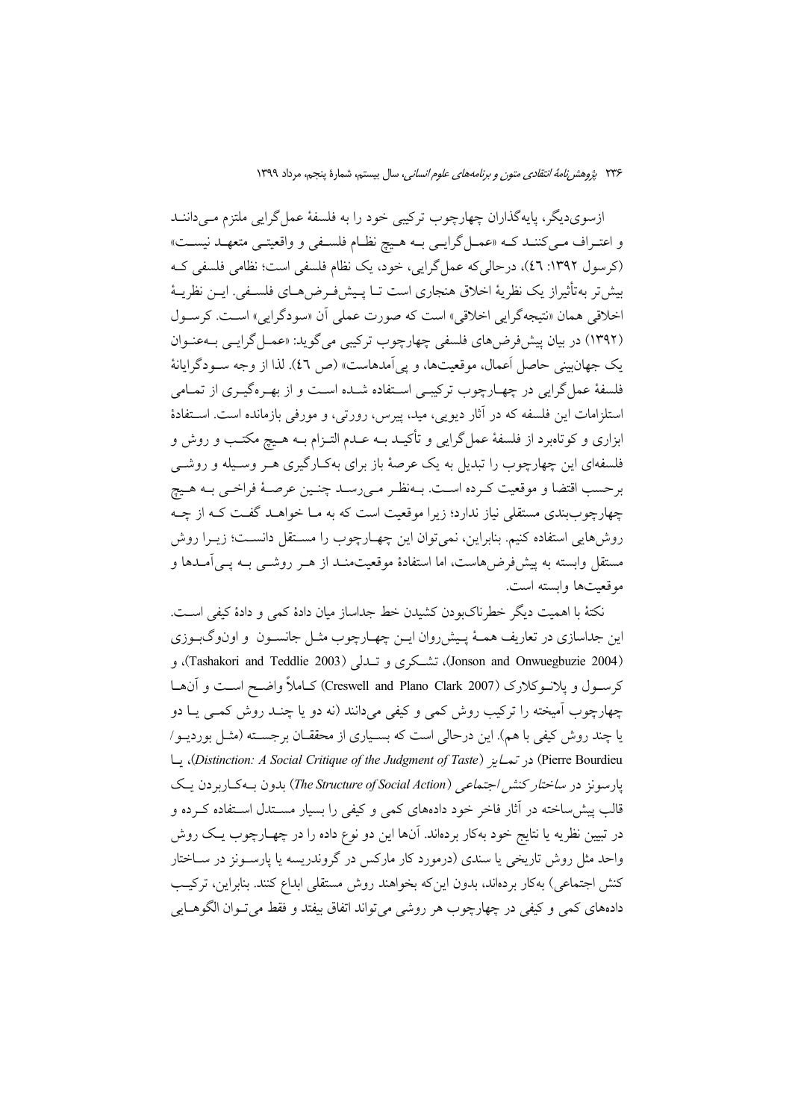ازسوی دیگر، پایهگذاران چهارچوب ترکیبی خود را به فلسفهٔ عمل گرایی ملتزم مـی داننــد و اعتـراف مـي كننـد كـه «عمـل گرايـي بـه هـيچ نظـام فلسـفي و واقعيتـي متعهـد نيسـت» (کرسول ۱۳۹۲: ٤٦)، درحالی که عمل گرایی، خود، یک نظام فلسفی است؛ نظامی فلسفی ک بیش تر به تأثیراز یک نظریهٔ اخلاق هنجاری است تـا پـیش(فـرض۵حـای فلسـفی. ایــن نظریــهٔ اخلاقي همان «نتيجه گرايي اخلاقي» است كه صورت عملي أن «سودگرايي» است. كرسول (۱۳۹۲) در بیان پیشفرضهای فلسفی چهارچوب ترکیبی می گوید: «عمـل گرایـبی بـهعنـوان يک جهان بيني حاصل أعمال، موقعيتها، و يي اَمدهاست» (ص ٤٦). لذا از وجه سـودگرايانهٔ فلسفهٔ عمل گرایی در چهـارچوب ترکیبـی اسـتفاده شــده اسـت و از بهـرهگیـری از تمــامی استلزامات این فلسفه که در آثار دیویی، مید، پیرس، رورتی، و مورفی بازمانده است. استفادهٔ ابزاری و کوتاهبرد از فلسفهٔ عمل۶گرایی و تأکیـد بــه عــدم التــزام بــه هــیچ مکتــب و روش و فلسفهای این چهارچوب را تبدیل به یک عرصهٔ باز برای بهکـارگیری هــر وســیله و روشــی برحسب اقتضا و موقعیت كـرده اسـت. بـهنظـر مـىرسـد چنـين عرصـهٔ فراخـي بـه هـيچ چهارچوببندی مستقلی نیاز ندارد؛ زیرا موقعیت است که به مـا خواهـد گفـت کـه از چـه روشهایی استفاده کنیم. بنابراین، نمی توان این چهـارچوب را مسـتقل دانسـت؛ زیــرا روش مستقل وابسته به پیش فرض هاست، اما استفادهٔ موقعیتمنــد از هــر روشــی بــه یــی آمــدها و موقعيتها وابسته است.

نكتهٔ با اهمیت دیگر خطرناک ودن کشیدن خط جداساز میان دادهٔ کمی و دادهٔ کیفی است. این جداسازی در تعاریف همـهٔ پـیش٫روان ایــن چهــارچوب مثــل جانســون و اونوگبــوزی (Jonson and Onwuegbuzie 2004)، تشكري و تبدلي (Tashakori and Teddlie 2003)، و كرسـول و پلانـوكلارک (Creswell and Plano Clark 2007) كـاملاً واضـح اسـت و آن&ـا چهارچوب آمیخته را ترکیب روش کمی و کیفی میدانند (نه دو یا چنـد روش کمـی یـا دو یا چند روش کیفی با هم). این درحالی است که بسـیاری از محققــان برجســته (مثــل بوردیــو/ Pierre Bourdieu) در تمايز (Distinction: A Social Critique of the Judgment of Taste)، يا یارسونز در *ساختار کنش اجتماعی (The Structure of Social Action*) بدون بـهکـاربردن یـک قالب پیش ساخته در آثار فاخر خود دادههای کمی و کیفی را بسیار مســتدل اســتفاده کــرده و در تبیین نظریه یا نتایج خود بهکار بردهاند. آنها این دو نوع داده را در چهـارچوب یـک روش واحد مثل روش تاریخی یا سندی (درمورد کار مارکس در گروندریسه یا پارسـونز در ســاختار كنش اجتماعي) بهكار بردهاند، بدون اينكه بخواهند روش مستقلي ابداع كنند. بنابراين، تركيب دادههاي كمي و كيفي در چهارچوب هر روشي مي تواند اتفاق بيفتد و فقط مي تــوان الگوهــايي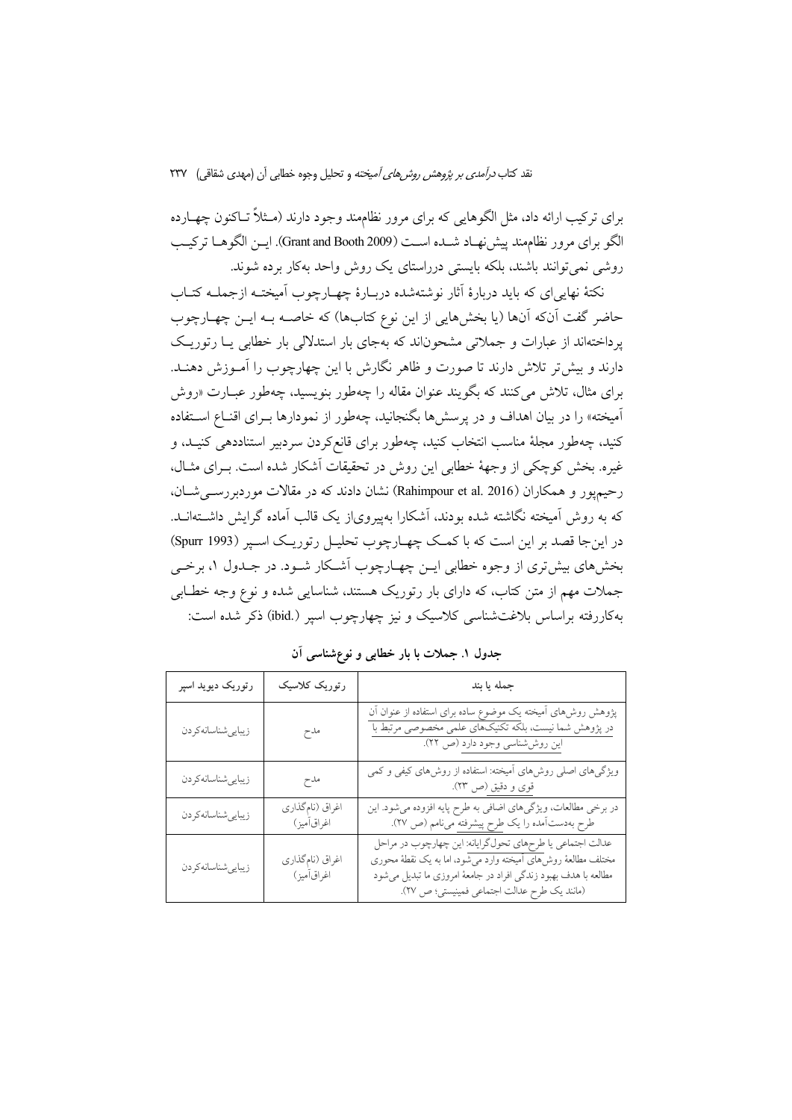نقد کتاب *درآمدی بر پژوهش روش های آمیخته* و تحلیل وجوه خطابی آن (مهدی شقاقی) ۲۳۷

برای ترکیب ارائه داد، مثل الگوهایی که برای مرور نظامهند وجود دارند (مــثلاً تــاکنون چهــارده الكو براي مرور نظامِمند ييش نهـاد شـده اسـت (Grant and Booth 2009). ايــن الكوهــا تركيـب روشي نمي توانند باشند، بلكه بايستي درراستاي يك روش واحد بهكار برده شوند.

نکتهٔ نهایی ای که باید دربارهٔ آثار نوشتهشده دربـارهٔ چهـارچوب آمیختـه ازجملــه کتــاب حاضر گفت آنکه آنها (یا بخشهایی از این نوع کتابها) که خاصـه بـه ایــن چهـارچوب یر داختهاند از عبارات و جملاتی مشحوناند که بهجای بار استدلالی بار خطابی یــا رتوریـک دارند و بیش تر تلاش دارند تا صورت و ظاهر نگارش با این چهارچوب را آمـوزش دهنـد. برای مثال، تلاش می کنند که بگویند عنوان مقاله را چهطور بنویسید، چهطور عبـارت «روش آمیخته» را در بیان اهداف و در پرسشها بگنجانید، چهطور از نمودارها بـرای اقنـاع اسـتفاده کنید، چهطور مجلهٔ مناسب انتخاب کنید، چهطور برای قانعکردن سردبیر استناددهی کنیـد، و غیره. بخش کوچکی از وجههٔ خطابی این روش در تحقیقات آشکار شده است. بـرای مثـال، رحیم یو ر و همکاران (Rahimpour et al. 2016) نشان دادند که در مقالات موردبر رستی شبان، که به روش آمیخته نگاشته شده بودند، آشکارا بهپیرویاز یک قالب آماده گرایش داشــتهانــد. در اینجا قصد بر این است که با کمک چهـارچوب تحلیـل رتوریـک اسـپر (Spurr 1993) بخشهای بیشتری از وجوه خطابی ایــن چهــارچوب آشــکار شــود. در جــدول ۱، برخــی جملات مهم از متن کتاب، که دارای بار رتوریک هستند، شناسایی شده و نوع وجه خطـابی بهکاررفته براساس بلاغتشناسی کلاسیک و نیز چهارچوب اسپر (.ibid) ذکر شده است:

| رتوريک ديويد اسپر   | رتوریک کلاسیک                  | جمله يا بند                                                                                                                                                                                                                                     |
|---------------------|--------------------------------|-------------------------------------------------------------------------------------------------------------------------------------------------------------------------------------------------------------------------------------------------|
| زيبايي شناسانه كردن | مدح                            | پژوهش روش(های أمیخته یک موضوع ساده برای استفاده از عنوان أن<br>در پژوهش شما نیست، بلکه تکنیکهای علمی مخصوصی مرتبط با<br>این روششناسی وجود دارد (ص ٢٢).                                                                                          |
| زيبايي شناسانه كردن | مدح                            | ویژگیهای اصلی روش،های امیخته: استفاده از روش،های کیفی و کمی<br>قوى و دقيق (ص ٢٣).                                                                                                                                                               |
| زيبايي شناسانه كردن | اغراق (نام گذاري<br>اغراق[میز) | در برخی مطالعات، ویژگیهای اضافی به طرح پایه افزوده میشود. این<br>طرح بهدستآمده را یک طرح پیشرفته میiامم (ص ۲۷).                                                                                                                                 |
| زيبايي شناسانه كردن | اغراق (نامگذاري<br>اغراق[میز)  | عدالت اجتماعي يا طرحهاي تحول گرايانه: اين چهارچوب در مراحل<br>مختلف مطالعهٔ روش۵ای اّمیخته وارد میشود، اما به یک نقطهٔ محوری<br>مطالعه با هدف بهبود زندگی افراد در جامعهٔ امروزی ما تبدیل میشود<br>(مانند يك طرح عدالت اجتماعي فمينيستي؛ ص ٢٧). |

جدول ۱. جملات با بار خطابی و نوع شناسی آن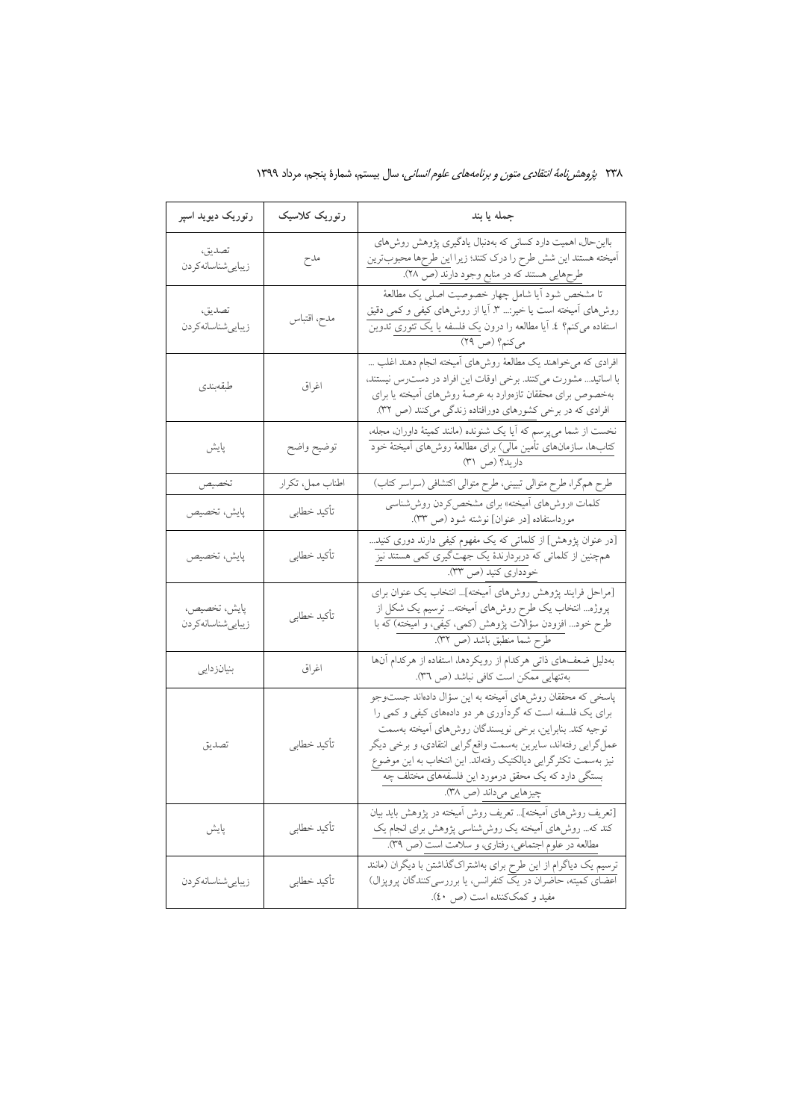| رتوریک دیوید اسپر                 | رتوریک کلاسیک    | جمله يا بند                                                                                                                                                                                                                                                                                                                                                                                        |
|-----------------------------------|------------------|----------------------------------------------------------------------------------------------------------------------------------------------------------------------------------------------------------------------------------------------------------------------------------------------------------------------------------------------------------------------------------------------------|
| تصديق،<br>زيبايي شناسانه كردن     | مدح              | بااین حال، اهمیت دارد کسانی که بهدنبال یادگیری پژوهش روشهای<br>أميخته هستند اين شش طرح را درك كنند؛ زيرا اين طرحها محبوبترين<br>طرحهایی هستند که در منابع وجود دارند (ص ۲۸).<br>.                                                                                                                                                                                                                  |
| تصديق،<br>زيبايىشناسانەكردن       | مدح، اقتباس      | تا مشخص شود اّیا شامل چهار خصوصیت اصلی یک مطالعهٔ<br>روش۵ای امیخته است یا خیر:… ۳. اَیا از روش۵ای کیفی و کمی دقیق<br>استفاده میکنم؟ ٤. آیا مطالعه را درون یک فلسفه یا یک تئوری تدوین<br>میکنم؟ (ص ٢٩)                                                                                                                                                                                              |
| طبقەبندى                          | اغراق            | افرادی که میخواهند یک مطالعهٔ روشهای آمیخته انجام دهند اغلب …<br>با اساتید مشورت میکنند. برخی اوقات این افراد در دسترس نیستند،<br>بهخصوص برای محققان تازهوارد به عرصهٔ روش۵ای أمیخته یا برای<br>افرادی که در برخی کشورهای دورافتاده زندگی میکنند (ص ۳۲).                                                                                                                                           |
| پايش                              | توضيح واضح       | نخست از شما میپرسم که أیا یک شنونده (مانند کمیتهٔ داوران، مجله،<br>کتابها، سازمانهای تأمین مالی) برای مطالعهٔ روش۵ای أمیختهٔ خود<br>داريد؟ (ص ٣١)                                                                                                                                                                                                                                                  |
| تخصيص                             | اطناب ممل، تكرار | طرح هم گرا، طرح متوالی تبیینی، طرح متوالی اکتشافی (سراسر کتاب)                                                                                                                                                                                                                                                                                                                                     |
| پايش، تخصيص                       | تأكيد خطابي      | کلمات «روشهای اّمیخته» برای مشخص کردن روششناسی<br>مورداستفاده [در عنوان] نوشته شود (ص ٣٣).                                                                                                                                                                                                                                                                                                         |
| پايش، تخصيص                       | تأكيد خطابي      | [در عنوان پژوهش] از کلماتی که یک مفهوم کیفی دارند دوری کنید…<br>همچنین از کلماتی که دربردارندهٔ یک جهتگیری کمی هستند نیز<br>خودداري كنيد (ص ٣٣).                                                                                                                                                                                                                                                   |
| پايش، تخصيص،<br>زيبايىشناسانەكردن | تأكيد خطابي      | [مراحل فرایند پژوهش روشهای آمیخته] انتخاب یک عنوان برای<br>پروژه انتخاب یک طرح روش،های اَمیخته ترسیم یک شکل از<br>طرح خود افزودن سؤالات پژوهش (کمی، کیفی، و آمیخته) که با<br>طرح شما منطبق باشد (ص ۳۲).                                                                                                                                                                                            |
| بنیانزدایی                        | اغراق            | بهدلیل ضعفهای ذاتی هرکدام از رویکردها، استفاده از هرکدام آنها<br>بهتنهایی ممکن است کافی نباشد (ص ٣٦).                                                                                                                                                                                                                                                                                              |
| تصديق                             | تأكيد خطابي      | پاسخی که محققان روش،ای آمیخته به این سؤال دادهاند جستوجو<br>برای یک فلسفه است که گردآوری هر دو دادههای کیفی و کمی را<br>توجيه كند. بنابراين، برخي نويسندگان روشهاي أميخته بهسمت<br>عملگرایی رفتهاند، سایرین بهسمت واقع گرایی انتقادی، و برخی دیگر<br>نیز بهسمت تکثرگرایی دیالکتیک رفتهاند. این انتخاب به این موضوع<br>بستگی دارد که یک محقق درمورد این فلسفههای مختلف چه<br>چیزهایی میداند (ص ۳۸). |
| پايش                              | تأكيد خطابي      | [تعریف روشهای اَمیخته] تعریف روش اَمیخته در پژوهش باید بیان<br>کند که… روشهای اَمیخته یک روششناسی پژوهش برای انجام یک<br>مطالعه در علوم اجتماعی، رفتاری، و سلامت است (ص ٣٩).                                                                                                                                                                                                                       |
| زيبايي شناسانه كردن               | تأكيد خطابي      | ترسیم یک دیاگرام از این طرح برای بهاشتراکگذاشتن با دیگران (مانند<br>اعضای کمیته، حاضران در یک کنفرانس، یا برررسیکنندگان پروپزال)<br>مفيد و كمك كننده است (ص ٤٠).                                                                                                                                                                                                                                   |

۲۳۸ *پژوهشرنامهٔ انتقادی متون و برنامههای علوم انسانی،* سال بیستم، شمارهٔ پنجم، مرداد ۱۳۹۹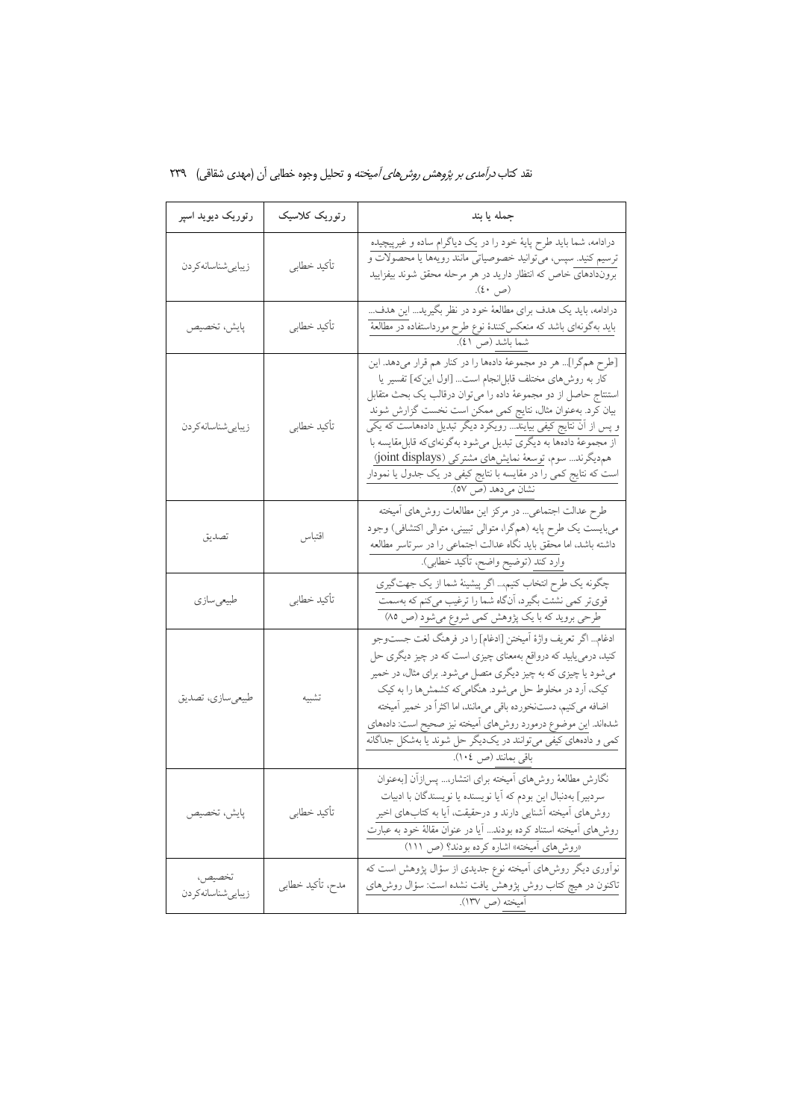| رتوریک دیوید اسپر             | رتوریک کلاسیک    | جمله يا بند                                                                                                                                                                                                                                                                                                                                                                                                                                                                                                                                         |
|-------------------------------|------------------|-----------------------------------------------------------------------------------------------------------------------------------------------------------------------------------------------------------------------------------------------------------------------------------------------------------------------------------------------------------------------------------------------------------------------------------------------------------------------------------------------------------------------------------------------------|
| زيبايي شناسانه كردن           | تأكيد خطابي      | درادامه، شما باید طرح پایهٔ خود را در یک دیاگرام ساده و غیرپیچیده<br>ترسیم کنید. سپس، میتوانید خصوصیاتی مانند رویهها یا محصولات و<br>بروندادهای خاص که انتظار دارید در هر مرحله محقق شوند بیفزایید<br>(ص ٤٠).                                                                                                                                                                                                                                                                                                                                       |
| پايش، تخصيص                   | تأكيد خطابي      | درادامه، باید یک هدف برای مطالعهٔ خود در نظر بگیرید این هدف<br>باید بهگونهای باشد که منعکسکنندهٔ نوع طرح مورداستفاده در مطالعهٔ<br>شما باشد (ص ٤١).                                                                                                                                                                                                                                                                                                                                                                                                 |
| زيبايي شناسانه كردن           | تأكيد خطابي      | [طرح همگرا] هر دو مجموعهٔ دادهها را در کنار هم قرار میدهد. این<br>كار به روشهاى مختلف قابل نجام است [اول اين كه] تفسير يا<br>استنتاج حاصل از دو مجموعهٔ داده را میتوان درقالب یک بحث متقابل<br>بیان کرد. بهعنوان مثال، نتایج کمی ممکن است نخست گزارش شوند<br>و پس از آن نتایج کیفی بیایند رویکرد دیگر تبدیل دادههاست که یکی<br>از مجموعهٔ دادهها به دیگری تبدیل میشود بهگونهایکه قابل مقایسه با<br>هم دیگرند سوم، توسعهٔ نمایشهای مشترکی (joint displays)<br>است که نتایج کمی را در مقایسه با نتایج کیفی در یک جدول یا نمودار<br>نشان ميدهد (ص ٥٧). |
| تصديق                         | اقتباس           | طرح عدالت اجتماعی… در مرکز این مطالعات روش۵ای آمیخته<br>ميبايست يک طرح پايه (همگرا، متوالي تبييني، متوالي اکتشافي) وجود<br>داشته باشد، اما محقق باید نگاه عدالت اجتماعی را در سرتاسر مطالعه<br>وارد كند (توضيح واضح، تأكيد خطابى).                                                                                                                                                                                                                                                                                                                  |
| طبیعیسازی                     | تأكيد خطابي      | چگونه یک طرح انتخاب کنیم اگر پیشینهٔ شما از یک جهتگیری<br>قویتر کمی نشئت بگیرد، اَنگاه شما را ترغیب میکنم که بهسمت<br>طرحی بروید که با یک پژوهش کمی شروع میشود (ص ۸۵)                                                                                                                                                                                                                                                                                                                                                                               |
| طبیعیسازی، تصدیق              | تشبيه            | ادغام اگر تعريف واژهٔ اَميختن [ادغام] را در فرهنگ لغت جستوجو<br>کنید، درمی،یابید که درواقع بهمعنای چیزی است که در چیز دیگری حل<br>میشود یا چیزی که به چیز دیگری متصل میشود. برای مثال، در خمیر<br>کیک، اَرد در مخلوط حل میشود. هنگامیکه کشمشها را به کیک<br>اضافه میکنیم، دستنخورده باقی میمانند، اما اکثراً در خمیر آمیخته<br>شدهاند. این موضوع درمورد روش،ای آمیخته نیز صحیح است: دادههای<br>کمی و دادههای کیفی میتوانند در یکدیگر حل شوند یا بهشکل جداگانه<br>باقى بمانند (ص ١٠٤).                                                               |
| پايش، تخصيص                   | تأكيد خطابي      | نگارش مطالعهٔ روش،ای آمیخته برای انتشار، پس زأن [بهعنوان<br>سردبیر] بهدنبال این بودم که آیا نویسنده یا نویسندگان با ادبیات<br>روشهای آمیخته آشنایی دارند و درحقیقت، آیا به کتابهای اخیر<br>روش۵های آمیخته استناد کرده بودند آیا در عنوان مقالهٔ خود به عبارت<br>«روشهای اَمیخته» اشاره کرده بودند؟ (ص ١١١)                                                                                                                                                                                                                                          |
| تخصيص،<br>زيبايي شناسانه كردن | مدح، تأكيد خطابي | نوآوری دیگر روشهای آمیخته نوع جدیدی از سؤال پژوهش است که<br>تاکنون در هیچ کتاب روش پژوهش یافت نشده است: سؤال روش۵ای<br>آميخته (ص ١٣٧).                                                                                                                                                                                                                                                                                                                                                                                                              |

نقد کتاب *درآمدی بر پژوهش روشهای آمیخته* و تحلیل وجوه خطابی آن (مهدی شقاقی) ۲۳۹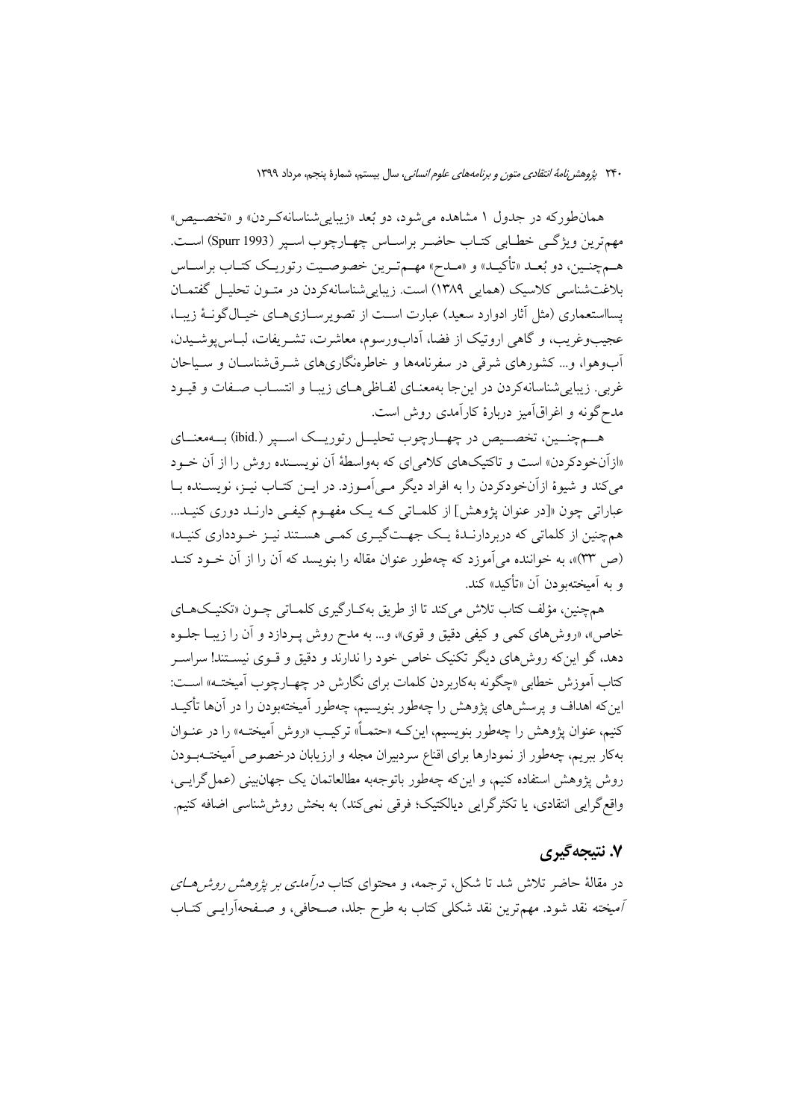همان طور که در جدول ۱ مشاهده می شود، دو بُعد «زیبایی شناسانهکردن» و «تخصیص» مهمترين ويژگي خطابي كتـاب حاضـر براسـاس چهـارچوب اسـير (Spurr 1993) اسـت. هـمچنـین، دو بُعـد «تأکیـد» و «مـدح» مهـمتـرین خصوصـیت رتوریـک کتـاب براسـاس بلاغتشناسی کلاسیک (همایی ۱۳۸۹) است. زیبایی شناسانهکردن در متـون تحلیـل گفتمـان پسااستعماری (مثل آثار ادوارد سعید) عبارت اسـت از تصویرسـازیهـای خیـالگونـهٔ زیبـا، عجیبوغریب، و گاهی اروتیک از فضا، آدابورسوم، معاشرت، تشـریفات، لبـاس پوشـیدن، آبوهوا، و… کشورهای شرقی در سفرنامهها و خاطرهنگاریهای شـرقشناسـان و سـیاحان غربي. زيبايي شناسانه كردن در اين جا بهمعنـاي لفـاظي هـاي زيبـا و انتسـاب صـفات و قيـود مدح گونه و اغراقآمیز دربارهٔ کارآمدی روش است.

هـمچنــین، تخصــیص در چهــارچوب تحلیــل رتوریــک اســپر (.ibid) بــهمعنــاي «ازآنخودکردن» است و تاکتیکهای کلامی ای که بهواسطهٔ آن نویسـنده روش را از آن خـود می کند و شیوهٔ ازآنخودکردن را به افراد دیگر مـی آمـوزد. در ایــن کتــاب نیــز، نویســنده بــا عباراتی چون «[در عنوان پژوهش] از کلمـاتی کـه یـک مفهـوم کیفـی دارنـد دوری کنیـد... همچنین از کلماتی که دربردارنـدهٔ یـک جهـتگیـری کمـی هسـتند نیـز خـودداری کنیـد» (ص ٣٣)»، به خواننده مي آموزد كه چهطور عنوان مقاله را بنويسد كه آن را از آن خـود كنـد و به آمیختهبودن آن «تأکید» کند.

همچنین، مؤلف کتاب تلاش میکند تا از طریق بهکـارگیری کلمـاتی چـون «تکنیـکـهـای خاص»، «روشهای کمی و کیفی دقیق و قوی»، و… به مدح روش پـردازد و آن را زیبـا جلــوه دهد، گو این که روشهای دیگر تکنیک خاص خود را ندارند و دقیق و قــوی نیســتند! سراســر کتاب اَموزش خطابی «چگونه بهکاربردن کلمات برای نگارش در چهـارچوب اَميختــه» اســت: اینکه اهداف و پرسشهای پژوهش را چهطور بنویسیم، چهطور آمیختهبودن را در آنها تأکیـد کنیم، عنوان پژوهش را چهطور بنویسیم، اینکه «حتمـاً» ترکیـب «روش آمیختـه» را در عنــوان بهکار ببریم، چهطور از نمودارها برای اقناع سردبیران مجله و ارزیابان درخصوص آمیختــهبــودن روش يژوهش استفاده كنيم، و اين كه چەطور باتوجەبە مطالعاتمان يک جهان بيني (عمل گرايــي، واقع گرایی انتقادی، یا تکثرگرایی دیالکتیک؛ فرقی نمیکند) به بخش روششناسی اضافه کنیم.

## ۷. نتیجهگیری

در مقالهٔ حاضر تلاش شد تا شکل، ترجمه، و محتوای کتاب *درآمدی بر پژوهش روش هـای* أميخته نقد شود. مهمترين نقد شكلي كتاب به طرح جلد، صـحافي، و صـفحهأرايــي كتــاب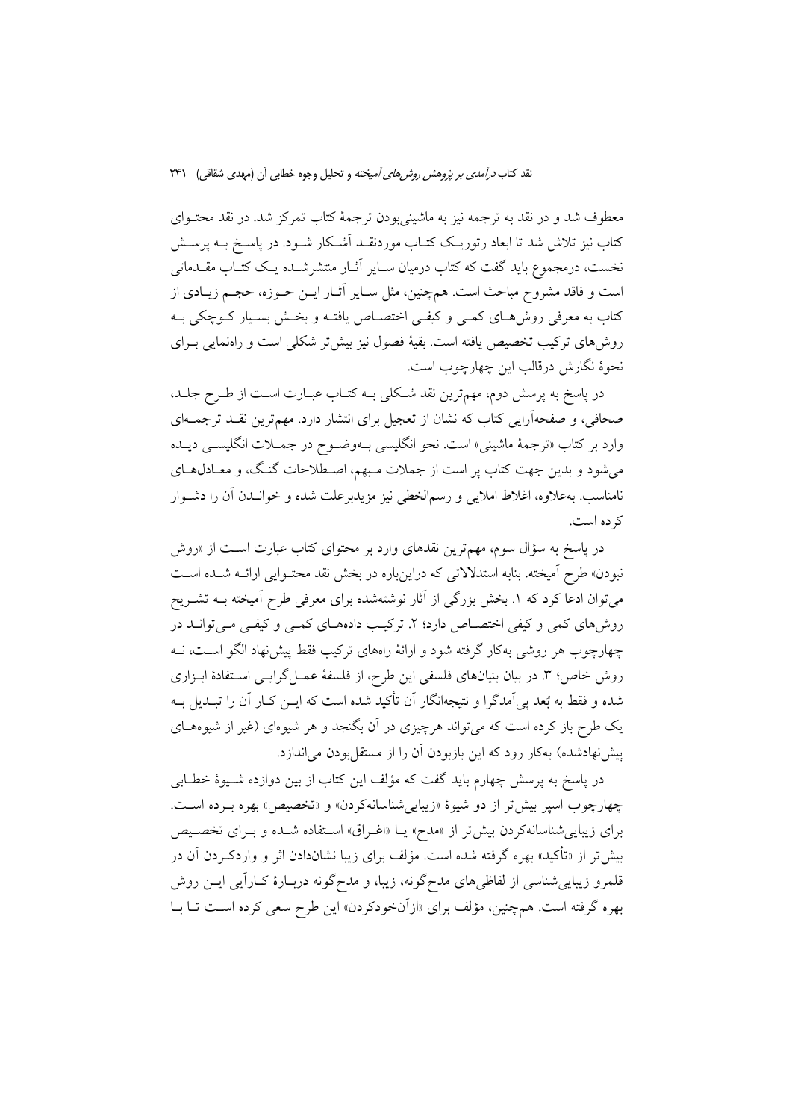معطوف شد و در نقد به ترجمه نیز به ماشینی بودن ترجمهٔ کتاب تمرکز شد. در نقد محتــوای کتاب نیز تلاش شد تا ابعاد رتوریـک کتـاب موردنقـد اَشـکار شــود. در پاســخ بــه پرســش نخست، درمجموع باید گفت که کتاب درمیان سـایر آثـار منتشرشــده یـک کتــاب مقــدماتـی است و فاقد مشروح مباحث است. همچنین، مثل سـایر أثــار ایــن حــوزه، حجــم زیــادی از کتاب به معرفی روش،حای کمـی و کیفـی اختصـاص یافتـه و بخـش بسـیار کــوچکی بــه روش های ترکیب تخصیص یافته است. بقیهٔ فصول نیز بیش تر شکلی است و راهنمایی بـرای نحوة نگارش درقالب اين چهارچوب است.

در پاسخ به پرسش دوم، مهمترین نقد شکلی بـه کتـاب عبـارت اسـت از طـرح جلـد، صحافی، و صفحهآرایی کتاب که نشان از تعجیل برای انتشار دارد. مهمترین نقـد ترجمــهای وارد بر کتاب «ترجمهٔ ماشینی» است. نحو انگلیسی بـهوضـوح در جمــلات انگلیســی دیــده می شود و بدین جهت کتاب پر است از جملات مبهم، اصطلاحات گنگ، و معـادلهـای نامناسب. بهعلاوه، اغلاط املایی و رسمالخطی نیز مزیدبرعلت شده و خوانــدن آن را دشــوار کر ده است.

در پاسخ به سؤال سوم، مهمترین نقدهای وارد بر محتوای کتاب عبارت اسـت از «روش نبودن» طرح آمیخته. بنابه استدلالاتی که دراینباره در بخش نقد محتـوایی ارائــه شــده اســت میتوان ادعا کرد که ۱. بخش بزرگی از آثار نوشتهشده برای معرفی طرح آمیخته بـه تشــریح روشهای کمی و کیفی اختصاص دارد؛ ۲. ترکیب دادههای کمی و کیفی میتوانـد در چهارچوب هر روشی بهکار گرفته شود و ارائهٔ راههای ترکیب فقط پیش نهاد الگو اسـت، نــه روش خاص؛ ٣. در بيان بنيانهاي فلسفى اين طرح، از فلسفة عمـل گرايـي اسـتفادة ابـزاري شده و فقط به بُعد پی اَمدگرا و نتیجهانگار اَن تأکید شده است که ایــن کــار اَن را تبــدیل بــه یک طرح باز کرده است که می تواند هرچیزی در آن بگنجد و هر شیوهای (غیر از شیوههـای پیش نهادشده) بهکار رود که این بازبودن آن را از مستقل بودن می اندازد.

در پاسخ به پرسش چهارم باید گفت که مؤلف این کتاب از بین دوازده شــیوهٔ خطــابی چهارچوب اسپر بیش تر از دو شیوهٔ «زیباییشناسانهکردن» و «تخصیص» بهره بـرده اسـت. برای زیبایی شناسانه کردن بیش تر از «مدح» یـا «اغـراق» اسـتفاده شـده و بـرای تخصـیص بیش تر از «تأکید» بهره گرفته شده است. مؤلف برای زیبا نشاندادن اثر و واردکـردن آن در قلمرو زیبایی شناسی از لفاظیهای مدح گونه، زیبا، و مدح گونه دربـارهٔ کـارآیی ایــن روش بهره گرفته است. همچنین، مؤلف برای «ازآنخودکردن» این طرح سعی کرده است تــا بــا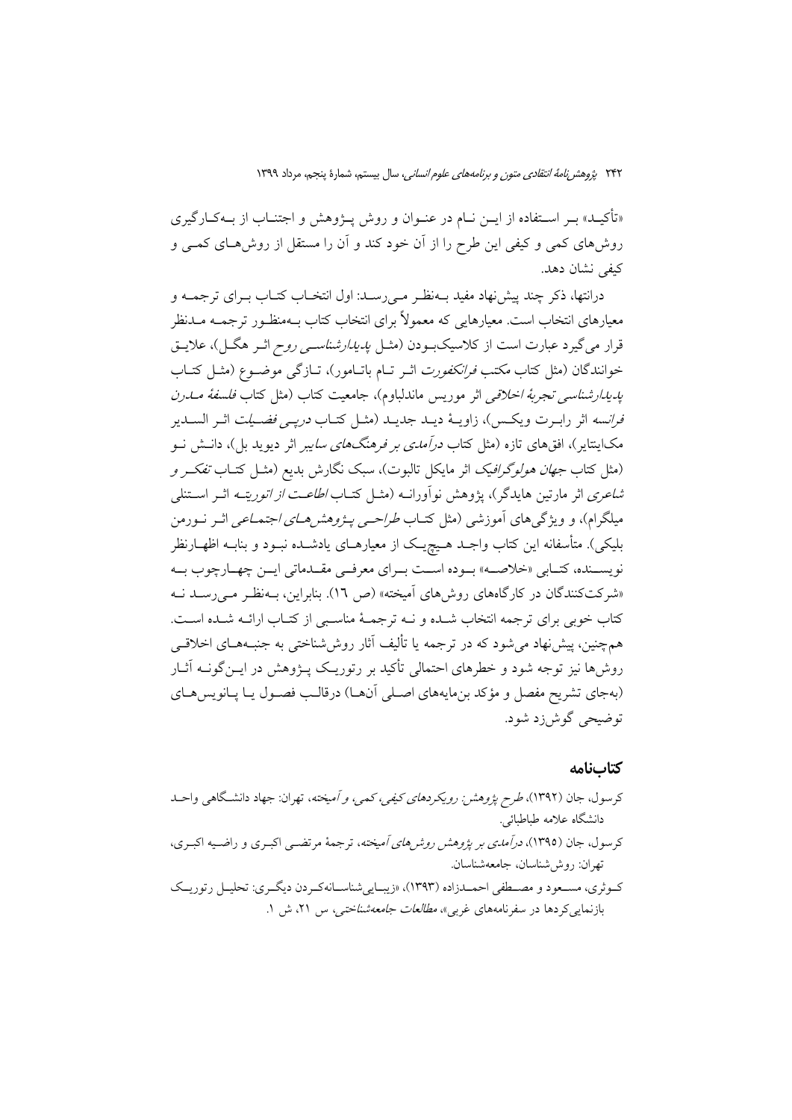«تأکیـد» بـر اسـتفاده از ایـن نـام در عنـوان و روش پـژوهش و اجتنـاب از بـهکـارگیری روشهای کمی و کیفی این طرح را از آن خود کند و آن را مستقل از روشهای کمــی و كيفي نشان دهد.

درانتها، ذکر چند پیش نهاد مفید بـهنظـر مـی(سـد: اول انتخـاب کتـاب بـرای ترجمــه و معیارهای انتخاب است. معیارهایی که معمولاً برای انتخاب کتاب بـهمنظـور ترجمــه مــدنظر قرار می گیرد عبارت است از کلاسیکبودن (مثــل *یدیدارشناســی روح* اثــر هگــل)، علایــق خوانندگان (مثل كتاب *مكتب فرانكفورت* اثـر تـام باتـامور)، تــازگی موضــوع (مثــل كتــاب *پدیدارشناسی تجربهٔ اخلاقی اثر مودیس ماندلباوم)، جامعیت کتاب (مثل کتاب فلسفهٔ مــدرن فرانسه* اثر رابـرت ويكـس)، زاويــهٔ ديــد جديــد (مثــل كتــاب *دريــي فضــيلت* اثــر الســدير مکاینتایر)، افقهای تازه (مثل کتاب *درآمدی بر فرهنگهای سای*بر اثر دیوید بل)، دانــش نــو (مثل كتاب *جهان هولوگرافيك* اثر مايكل تالبوت)، سبك نگارش بديع (مثــل كتــاب *تفكــر و شاعری* اثر مارتین هایدگر)، یژوهش نوآورانـه (مثــل کتــاب *اطاعــت از اتوریتــه* اثــر اســتنلـي میلگرام)، و ویژگی های آموزشی (مثل کتــاب *طراحــی پــژوهش هــای اجتمــاعـی* اثــر نــورمن بلیکی). متأسفانه این کتاب واجـد هـیچیـک از معیارهـای یادشــده نبـود و بنابــه اظهــارنظر نویســنده، کتــابي «خلاصــه» بــوده اســت بــراي معرفــي مقــدماتي ايــن چهــارچوب بــه «شرکتکنندگان در کارگاههای روش های آمیخته» (ص ١٦). بنابراین، بـهنظـر مـی رسـد نـه كتاب خوبي براي ترجمه انتخاب شـده و نــه ترجمــهٔ مناسـبي از كتـاب ارائــه شـده اسـت. همچنین، پیش نهاد می شود که در ترجمه یا تألیف آثار روش شناختی به جنب4هــای اخلاقــی روشها نیز توجه شود و خطرهای احتمالی تأکید بر رتوریـک پــژوهش در ایــن گونــه آثــار (بهجای تشریح مفصل و مؤکد بنِ مایههای اصلی آنها) درقالب فصول یـا یـانویس هـای توضيحي گوش(د شود.

### كتابنامه